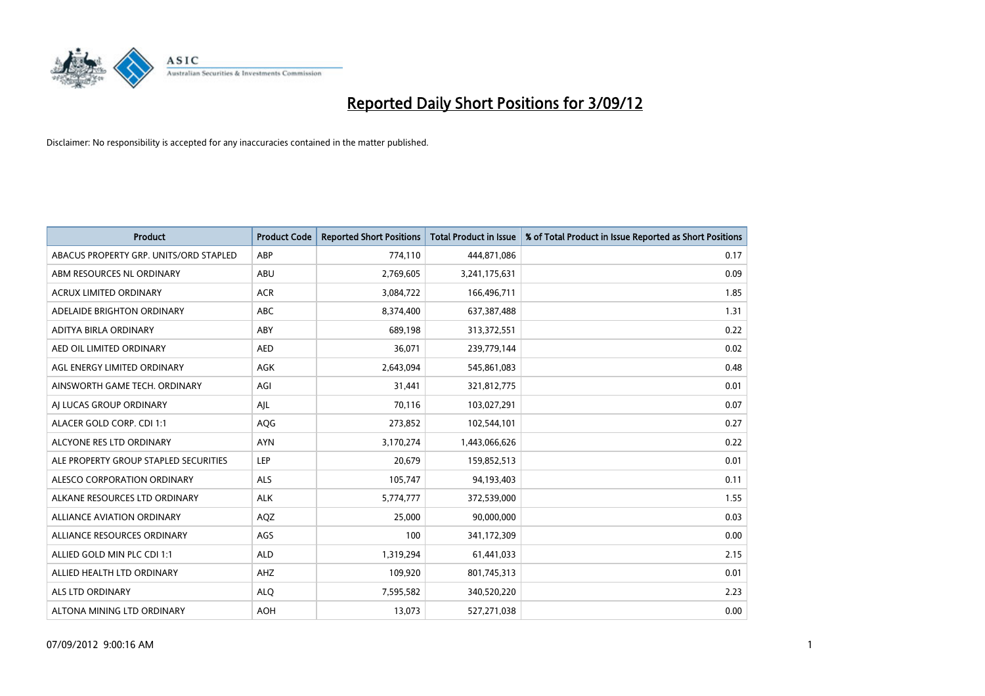

| <b>Product</b>                         | <b>Product Code</b> | <b>Reported Short Positions</b> | <b>Total Product in Issue</b> | % of Total Product in Issue Reported as Short Positions |
|----------------------------------------|---------------------|---------------------------------|-------------------------------|---------------------------------------------------------|
| ABACUS PROPERTY GRP. UNITS/ORD STAPLED | ABP                 | 774,110                         | 444,871,086                   | 0.17                                                    |
| ABM RESOURCES NL ORDINARY              | <b>ABU</b>          | 2,769,605                       | 3,241,175,631                 | 0.09                                                    |
| <b>ACRUX LIMITED ORDINARY</b>          | <b>ACR</b>          | 3,084,722                       | 166,496,711                   | 1.85                                                    |
| ADELAIDE BRIGHTON ORDINARY             | <b>ABC</b>          | 8,374,400                       | 637,387,488                   | 1.31                                                    |
| ADITYA BIRLA ORDINARY                  | ABY                 | 689.198                         | 313,372,551                   | 0.22                                                    |
| AED OIL LIMITED ORDINARY               | <b>AED</b>          | 36,071                          | 239,779,144                   | 0.02                                                    |
| AGL ENERGY LIMITED ORDINARY            | <b>AGK</b>          | 2,643,094                       | 545,861,083                   | 0.48                                                    |
| AINSWORTH GAME TECH. ORDINARY          | AGI                 | 31,441                          | 321,812,775                   | 0.01                                                    |
| AI LUCAS GROUP ORDINARY                | AJL                 | 70,116                          | 103,027,291                   | 0.07                                                    |
| ALACER GOLD CORP. CDI 1:1              | AQG                 | 273,852                         | 102,544,101                   | 0.27                                                    |
| ALCYONE RES LTD ORDINARY               | <b>AYN</b>          | 3,170,274                       | 1,443,066,626                 | 0.22                                                    |
| ALE PROPERTY GROUP STAPLED SECURITIES  | LEP                 | 20,679                          | 159,852,513                   | 0.01                                                    |
| ALESCO CORPORATION ORDINARY            | <b>ALS</b>          | 105,747                         | 94,193,403                    | 0.11                                                    |
| ALKANE RESOURCES LTD ORDINARY          | <b>ALK</b>          | 5,774,777                       | 372,539,000                   | 1.55                                                    |
| ALLIANCE AVIATION ORDINARY             | AQZ                 | 25,000                          | 90,000,000                    | 0.03                                                    |
| ALLIANCE RESOURCES ORDINARY            | AGS                 | 100                             | 341,172,309                   | 0.00                                                    |
| ALLIED GOLD MIN PLC CDI 1:1            | <b>ALD</b>          | 1,319,294                       | 61,441,033                    | 2.15                                                    |
| ALLIED HEALTH LTD ORDINARY             | AHZ                 | 109,920                         | 801,745,313                   | 0.01                                                    |
| <b>ALS LTD ORDINARY</b>                | <b>ALQ</b>          | 7,595,582                       | 340,520,220                   | 2.23                                                    |
| ALTONA MINING LTD ORDINARY             | <b>AOH</b>          | 13,073                          | 527,271,038                   | 0.00                                                    |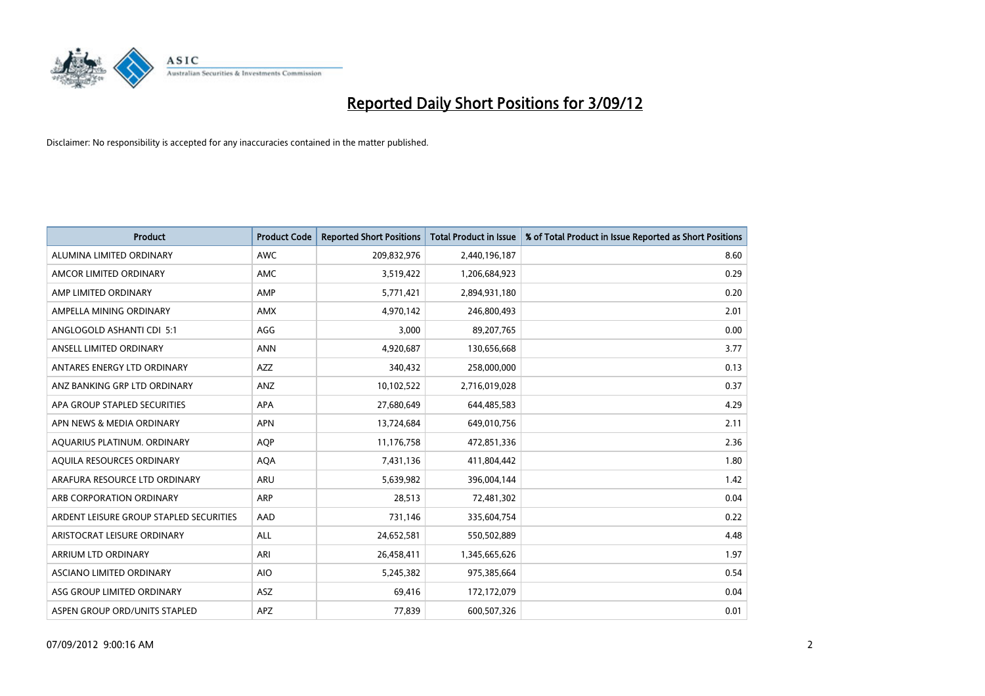

| <b>Product</b>                          | <b>Product Code</b> | <b>Reported Short Positions</b> | <b>Total Product in Issue</b> | % of Total Product in Issue Reported as Short Positions |
|-----------------------------------------|---------------------|---------------------------------|-------------------------------|---------------------------------------------------------|
| ALUMINA LIMITED ORDINARY                | <b>AWC</b>          | 209,832,976                     | 2,440,196,187                 | 8.60                                                    |
| AMCOR LIMITED ORDINARY                  | <b>AMC</b>          | 3,519,422                       | 1,206,684,923                 | 0.29                                                    |
| AMP LIMITED ORDINARY                    | AMP                 | 5,771,421                       | 2,894,931,180                 | 0.20                                                    |
| AMPELLA MINING ORDINARY                 | <b>AMX</b>          | 4,970,142                       | 246,800,493                   | 2.01                                                    |
| ANGLOGOLD ASHANTI CDI 5:1               | AGG                 | 3,000                           | 89,207,765                    | 0.00                                                    |
| ANSELL LIMITED ORDINARY                 | <b>ANN</b>          | 4,920,687                       | 130,656,668                   | 3.77                                                    |
| ANTARES ENERGY LTD ORDINARY             | <b>AZZ</b>          | 340,432                         | 258,000,000                   | 0.13                                                    |
| ANZ BANKING GRP LTD ORDINARY            | ANZ                 | 10,102,522                      | 2,716,019,028                 | 0.37                                                    |
| APA GROUP STAPLED SECURITIES            | <b>APA</b>          | 27,680,649                      | 644,485,583                   | 4.29                                                    |
| APN NEWS & MEDIA ORDINARY               | <b>APN</b>          | 13,724,684                      | 649,010,756                   | 2.11                                                    |
| AQUARIUS PLATINUM. ORDINARY             | <b>AOP</b>          | 11,176,758                      | 472,851,336                   | 2.36                                                    |
| AQUILA RESOURCES ORDINARY               | <b>AQA</b>          | 7,431,136                       | 411,804,442                   | 1.80                                                    |
| ARAFURA RESOURCE LTD ORDINARY           | ARU                 | 5,639,982                       | 396,004,144                   | 1.42                                                    |
| ARB CORPORATION ORDINARY                | <b>ARP</b>          | 28,513                          | 72,481,302                    | 0.04                                                    |
| ARDENT LEISURE GROUP STAPLED SECURITIES | AAD                 | 731,146                         | 335,604,754                   | 0.22                                                    |
| ARISTOCRAT LEISURE ORDINARY             | ALL                 | 24,652,581                      | 550,502,889                   | 4.48                                                    |
| ARRIUM LTD ORDINARY                     | ARI                 | 26,458,411                      | 1,345,665,626                 | 1.97                                                    |
| ASCIANO LIMITED ORDINARY                | <b>AIO</b>          | 5,245,382                       | 975,385,664                   | 0.54                                                    |
| ASG GROUP LIMITED ORDINARY              | <b>ASZ</b>          | 69,416                          | 172,172,079                   | 0.04                                                    |
| ASPEN GROUP ORD/UNITS STAPLED           | APZ                 | 77,839                          | 600,507,326                   | 0.01                                                    |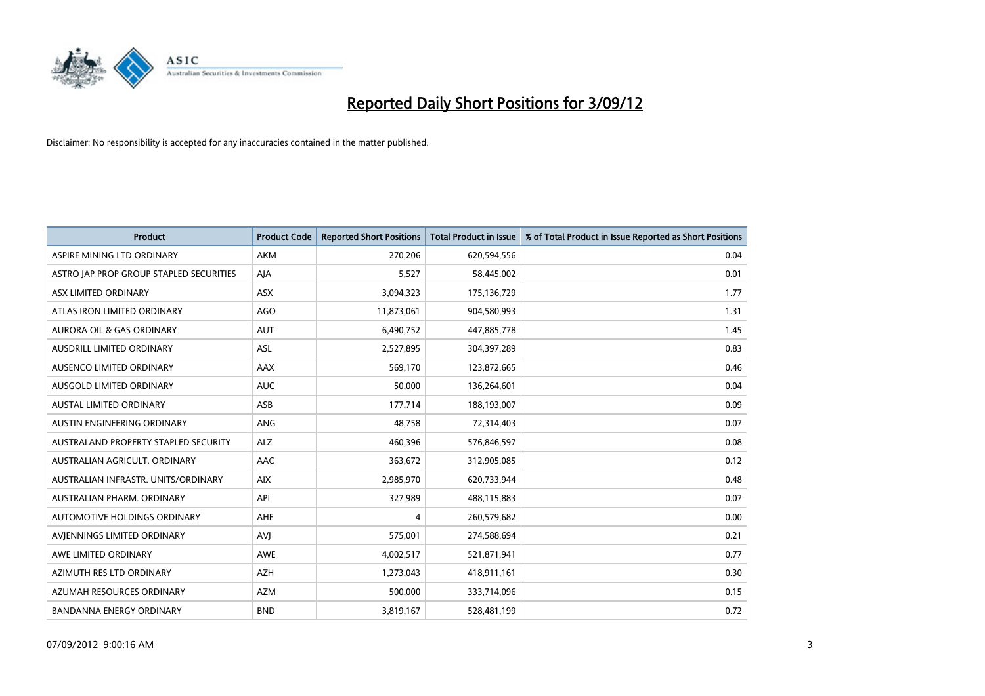

| <b>Product</b>                          | <b>Product Code</b> | <b>Reported Short Positions</b> | <b>Total Product in Issue</b> | % of Total Product in Issue Reported as Short Positions |
|-----------------------------------------|---------------------|---------------------------------|-------------------------------|---------------------------------------------------------|
| ASPIRE MINING LTD ORDINARY              | <b>AKM</b>          | 270,206                         | 620,594,556                   | 0.04                                                    |
| ASTRO JAP PROP GROUP STAPLED SECURITIES | AIA                 | 5,527                           | 58,445,002                    | 0.01                                                    |
| ASX LIMITED ORDINARY                    | <b>ASX</b>          | 3,094,323                       | 175,136,729                   | 1.77                                                    |
| ATLAS IRON LIMITED ORDINARY             | <b>AGO</b>          | 11,873,061                      | 904,580,993                   | 1.31                                                    |
| <b>AURORA OIL &amp; GAS ORDINARY</b>    | <b>AUT</b>          | 6,490,752                       | 447,885,778                   | 1.45                                                    |
| <b>AUSDRILL LIMITED ORDINARY</b>        | <b>ASL</b>          | 2,527,895                       | 304,397,289                   | 0.83                                                    |
| AUSENCO LIMITED ORDINARY                | AAX                 | 569,170                         | 123,872,665                   | 0.46                                                    |
| AUSGOLD LIMITED ORDINARY                | <b>AUC</b>          | 50,000                          | 136,264,601                   | 0.04                                                    |
| <b>AUSTAL LIMITED ORDINARY</b>          | ASB                 | 177,714                         | 188,193,007                   | 0.09                                                    |
| AUSTIN ENGINEERING ORDINARY             | ANG                 | 48,758                          | 72,314,403                    | 0.07                                                    |
| AUSTRALAND PROPERTY STAPLED SECURITY    | <b>ALZ</b>          | 460,396                         | 576,846,597                   | 0.08                                                    |
| AUSTRALIAN AGRICULT, ORDINARY           | AAC                 | 363,672                         | 312,905,085                   | 0.12                                                    |
| AUSTRALIAN INFRASTR. UNITS/ORDINARY     | <b>AIX</b>          | 2,985,970                       | 620,733,944                   | 0.48                                                    |
| AUSTRALIAN PHARM. ORDINARY              | API                 | 327,989                         | 488,115,883                   | 0.07                                                    |
| <b>AUTOMOTIVE HOLDINGS ORDINARY</b>     | AHE                 | 4                               | 260,579,682                   | 0.00                                                    |
| AVIENNINGS LIMITED ORDINARY             | <b>AVI</b>          | 575,001                         | 274,588,694                   | 0.21                                                    |
| AWE LIMITED ORDINARY                    | AWE                 | 4,002,517                       | 521,871,941                   | 0.77                                                    |
| AZIMUTH RES LTD ORDINARY                | <b>AZH</b>          | 1,273,043                       | 418,911,161                   | 0.30                                                    |
| AZUMAH RESOURCES ORDINARY               | <b>AZM</b>          | 500,000                         | 333,714,096                   | 0.15                                                    |
| BANDANNA ENERGY ORDINARY                | <b>BND</b>          | 3,819,167                       | 528,481,199                   | 0.72                                                    |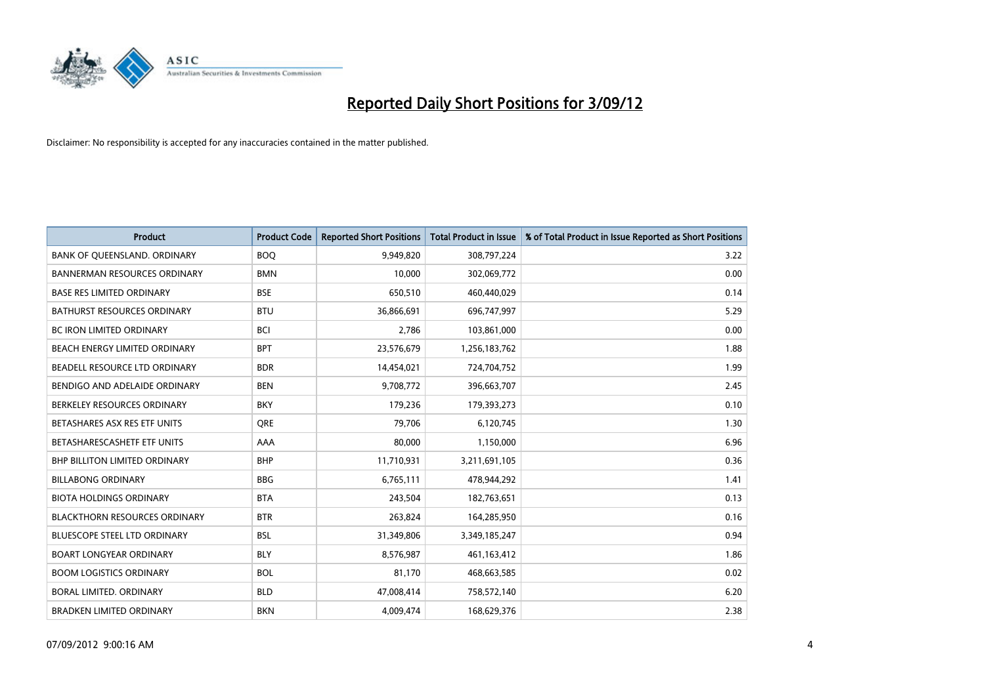

| <b>Product</b>                       | <b>Product Code</b> | <b>Reported Short Positions</b> | <b>Total Product in Issue</b> | % of Total Product in Issue Reported as Short Positions |
|--------------------------------------|---------------------|---------------------------------|-------------------------------|---------------------------------------------------------|
| BANK OF QUEENSLAND. ORDINARY         | <b>BOQ</b>          | 9,949,820                       | 308,797,224                   | 3.22                                                    |
| <b>BANNERMAN RESOURCES ORDINARY</b>  | <b>BMN</b>          | 10,000                          | 302,069,772                   | 0.00                                                    |
| <b>BASE RES LIMITED ORDINARY</b>     | <b>BSE</b>          | 650,510                         | 460,440,029                   | 0.14                                                    |
| BATHURST RESOURCES ORDINARY          | <b>BTU</b>          | 36,866,691                      | 696,747,997                   | 5.29                                                    |
| <b>BC IRON LIMITED ORDINARY</b>      | <b>BCI</b>          | 2,786                           | 103,861,000                   | 0.00                                                    |
| BEACH ENERGY LIMITED ORDINARY        | <b>BPT</b>          | 23,576,679                      | 1,256,183,762                 | 1.88                                                    |
| BEADELL RESOURCE LTD ORDINARY        | <b>BDR</b>          | 14,454,021                      | 724,704,752                   | 1.99                                                    |
| BENDIGO AND ADELAIDE ORDINARY        | <b>BEN</b>          | 9,708,772                       | 396,663,707                   | 2.45                                                    |
| BERKELEY RESOURCES ORDINARY          | <b>BKY</b>          | 179,236                         | 179,393,273                   | 0.10                                                    |
| BETASHARES ASX RES ETF UNITS         | <b>ORE</b>          | 79,706                          | 6,120,745                     | 1.30                                                    |
| BETASHARESCASHETF ETF UNITS          | AAA                 | 80,000                          | 1,150,000                     | 6.96                                                    |
| <b>BHP BILLITON LIMITED ORDINARY</b> | <b>BHP</b>          | 11,710,931                      | 3,211,691,105                 | 0.36                                                    |
| <b>BILLABONG ORDINARY</b>            | <b>BBG</b>          | 6,765,111                       | 478,944,292                   | 1.41                                                    |
| <b>BIOTA HOLDINGS ORDINARY</b>       | <b>BTA</b>          | 243,504                         | 182,763,651                   | 0.13                                                    |
| <b>BLACKTHORN RESOURCES ORDINARY</b> | <b>BTR</b>          | 263,824                         | 164,285,950                   | 0.16                                                    |
| BLUESCOPE STEEL LTD ORDINARY         | <b>BSL</b>          | 31,349,806                      | 3,349,185,247                 | 0.94                                                    |
| <b>BOART LONGYEAR ORDINARY</b>       | <b>BLY</b>          | 8,576,987                       | 461,163,412                   | 1.86                                                    |
| <b>BOOM LOGISTICS ORDINARY</b>       | <b>BOL</b>          | 81,170                          | 468,663,585                   | 0.02                                                    |
| BORAL LIMITED, ORDINARY              | <b>BLD</b>          | 47,008,414                      | 758,572,140                   | 6.20                                                    |
| <b>BRADKEN LIMITED ORDINARY</b>      | <b>BKN</b>          | 4.009.474                       | 168,629,376                   | 2.38                                                    |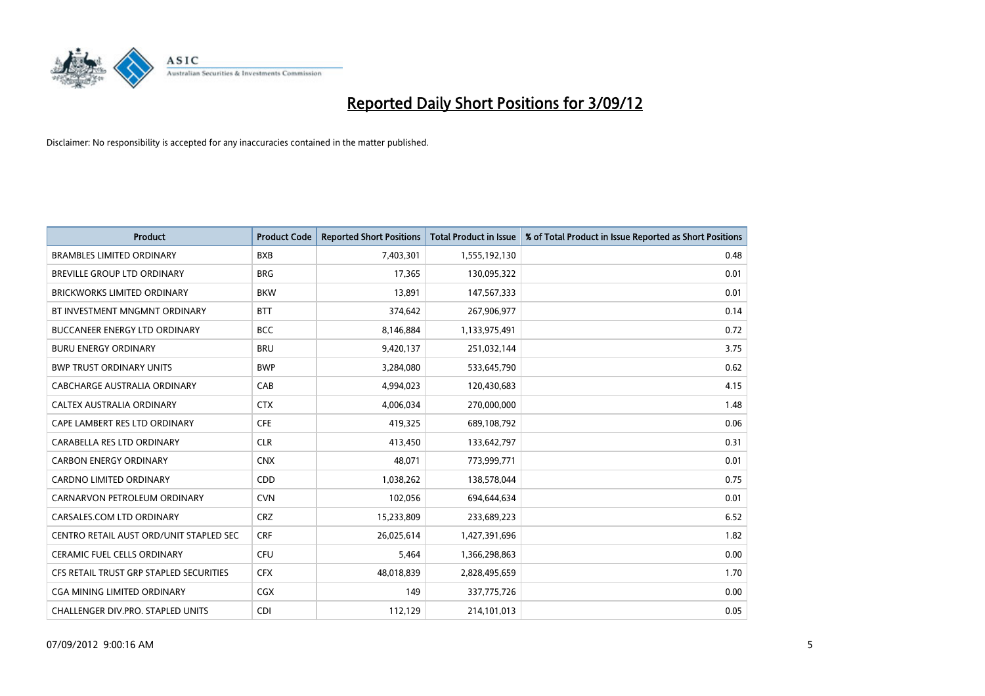

| <b>Product</b>                          | <b>Product Code</b> | <b>Reported Short Positions</b> | <b>Total Product in Issue</b> | % of Total Product in Issue Reported as Short Positions |
|-----------------------------------------|---------------------|---------------------------------|-------------------------------|---------------------------------------------------------|
| <b>BRAMBLES LIMITED ORDINARY</b>        | <b>BXB</b>          | 7,403,301                       | 1,555,192,130                 | 0.48                                                    |
| BREVILLE GROUP LTD ORDINARY             | <b>BRG</b>          | 17,365                          | 130,095,322                   | 0.01                                                    |
| <b>BRICKWORKS LIMITED ORDINARY</b>      | <b>BKW</b>          | 13,891                          | 147,567,333                   | 0.01                                                    |
| BT INVESTMENT MNGMNT ORDINARY           | <b>BTT</b>          | 374,642                         | 267,906,977                   | 0.14                                                    |
| <b>BUCCANEER ENERGY LTD ORDINARY</b>    | <b>BCC</b>          | 8,146,884                       | 1,133,975,491                 | 0.72                                                    |
| <b>BURU ENERGY ORDINARY</b>             | <b>BRU</b>          | 9,420,137                       | 251,032,144                   | 3.75                                                    |
| <b>BWP TRUST ORDINARY UNITS</b>         | <b>BWP</b>          | 3,284,080                       | 533,645,790                   | 0.62                                                    |
| CABCHARGE AUSTRALIA ORDINARY            | CAB                 | 4,994,023                       | 120,430,683                   | 4.15                                                    |
| CALTEX AUSTRALIA ORDINARY               | <b>CTX</b>          | 4,006,034                       | 270,000,000                   | 1.48                                                    |
| CAPE LAMBERT RES LTD ORDINARY           | <b>CFE</b>          | 419,325                         | 689,108,792                   | 0.06                                                    |
| CARABELLA RES LTD ORDINARY              | <b>CLR</b>          | 413,450                         | 133,642,797                   | 0.31                                                    |
| <b>CARBON ENERGY ORDINARY</b>           | <b>CNX</b>          | 48,071                          | 773,999,771                   | 0.01                                                    |
| <b>CARDNO LIMITED ORDINARY</b>          | <b>CDD</b>          | 1,038,262                       | 138,578,044                   | 0.75                                                    |
| CARNARVON PETROLEUM ORDINARY            | <b>CVN</b>          | 102,056                         | 694,644,634                   | 0.01                                                    |
| CARSALES.COM LTD ORDINARY               | <b>CRZ</b>          | 15,233,809                      | 233,689,223                   | 6.52                                                    |
| CENTRO RETAIL AUST ORD/UNIT STAPLED SEC | <b>CRF</b>          | 26,025,614                      | 1,427,391,696                 | 1.82                                                    |
| <b>CERAMIC FUEL CELLS ORDINARY</b>      | CFU                 | 5,464                           | 1,366,298,863                 | 0.00                                                    |
| CFS RETAIL TRUST GRP STAPLED SECURITIES | <b>CFX</b>          | 48,018,839                      | 2,828,495,659                 | 1.70                                                    |
| <b>CGA MINING LIMITED ORDINARY</b>      | CGX                 | 149                             | 337,775,726                   | 0.00                                                    |
| CHALLENGER DIV.PRO. STAPLED UNITS       | <b>CDI</b>          | 112,129                         | 214,101,013                   | 0.05                                                    |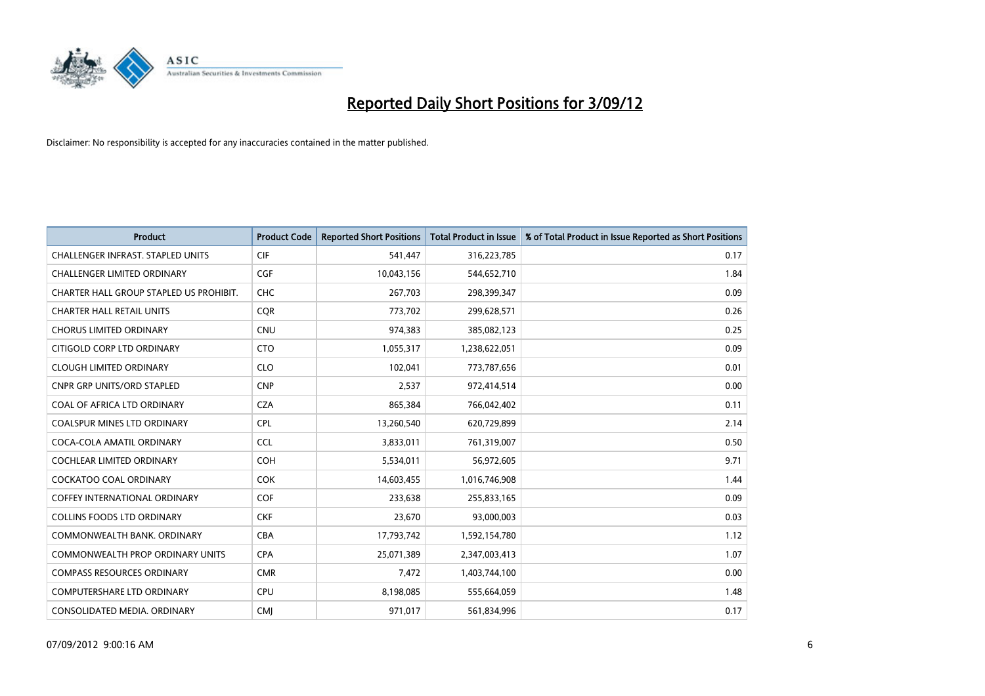

| <b>Product</b>                           | <b>Product Code</b> | <b>Reported Short Positions</b> | <b>Total Product in Issue</b> | % of Total Product in Issue Reported as Short Positions |
|------------------------------------------|---------------------|---------------------------------|-------------------------------|---------------------------------------------------------|
| <b>CHALLENGER INFRAST, STAPLED UNITS</b> | <b>CIF</b>          | 541,447                         | 316,223,785                   | 0.17                                                    |
| CHALLENGER LIMITED ORDINARY              | <b>CGF</b>          | 10,043,156                      | 544,652,710                   | 1.84                                                    |
| CHARTER HALL GROUP STAPLED US PROHIBIT.  | <b>CHC</b>          | 267,703                         | 298,399,347                   | 0.09                                                    |
| <b>CHARTER HALL RETAIL UNITS</b>         | <b>CQR</b>          | 773,702                         | 299,628,571                   | 0.26                                                    |
| <b>CHORUS LIMITED ORDINARY</b>           | <b>CNU</b>          | 974,383                         | 385,082,123                   | 0.25                                                    |
| CITIGOLD CORP LTD ORDINARY               | <b>CTO</b>          | 1,055,317                       | 1,238,622,051                 | 0.09                                                    |
| <b>CLOUGH LIMITED ORDINARY</b>           | <b>CLO</b>          | 102,041                         | 773,787,656                   | 0.01                                                    |
| CNPR GRP UNITS/ORD STAPLED               | <b>CNP</b>          | 2,537                           | 972,414,514                   | 0.00                                                    |
| COAL OF AFRICA LTD ORDINARY              | <b>CZA</b>          | 865,384                         | 766,042,402                   | 0.11                                                    |
| <b>COALSPUR MINES LTD ORDINARY</b>       | <b>CPL</b>          | 13,260,540                      | 620,729,899                   | 2.14                                                    |
| COCA-COLA AMATIL ORDINARY                | <b>CCL</b>          | 3,833,011                       | 761,319,007                   | 0.50                                                    |
| COCHLEAR LIMITED ORDINARY                | <b>COH</b>          | 5,534,011                       | 56,972,605                    | 9.71                                                    |
| <b>COCKATOO COAL ORDINARY</b>            | COK                 | 14,603,455                      | 1,016,746,908                 | 1.44                                                    |
| <b>COFFEY INTERNATIONAL ORDINARY</b>     | <b>COF</b>          | 233,638                         | 255,833,165                   | 0.09                                                    |
| <b>COLLINS FOODS LTD ORDINARY</b>        | <b>CKF</b>          | 23,670                          | 93,000,003                    | 0.03                                                    |
| COMMONWEALTH BANK, ORDINARY              | CBA                 | 17,793,742                      | 1,592,154,780                 | 1.12                                                    |
| <b>COMMONWEALTH PROP ORDINARY UNITS</b>  | <b>CPA</b>          | 25,071,389                      | 2,347,003,413                 | 1.07                                                    |
| <b>COMPASS RESOURCES ORDINARY</b>        | <b>CMR</b>          | 7,472                           | 1,403,744,100                 | 0.00                                                    |
| <b>COMPUTERSHARE LTD ORDINARY</b>        | <b>CPU</b>          | 8,198,085                       | 555,664,059                   | 1.48                                                    |
| CONSOLIDATED MEDIA. ORDINARY             | <b>CMI</b>          | 971,017                         | 561,834,996                   | 0.17                                                    |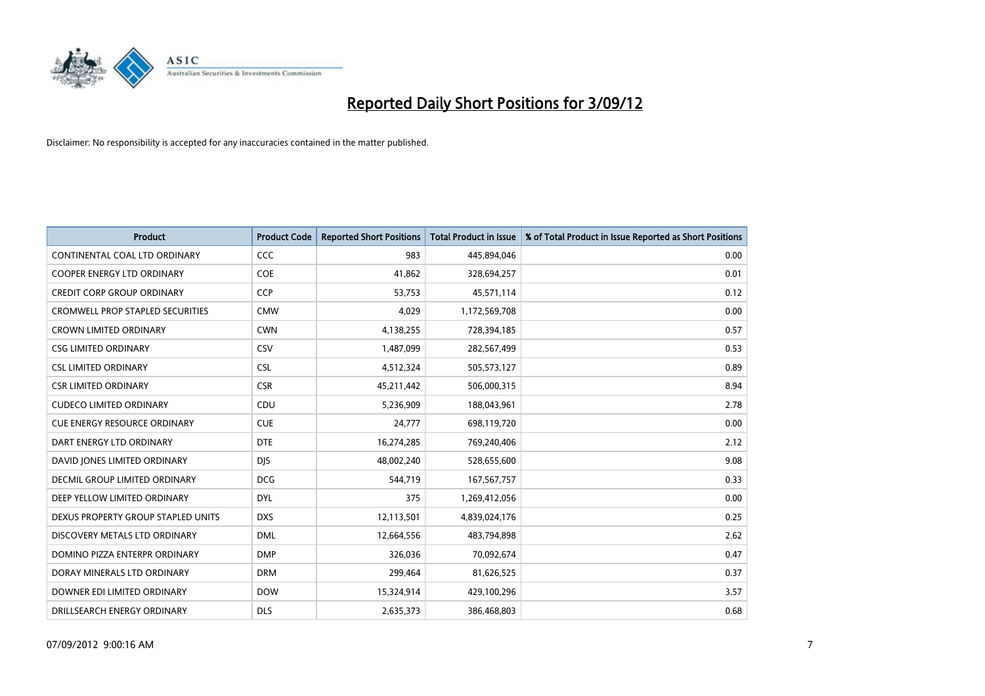

| <b>Product</b>                          | <b>Product Code</b> | <b>Reported Short Positions</b> | <b>Total Product in Issue</b> | % of Total Product in Issue Reported as Short Positions |
|-----------------------------------------|---------------------|---------------------------------|-------------------------------|---------------------------------------------------------|
| CONTINENTAL COAL LTD ORDINARY           | CCC                 | 983                             | 445,894,046                   | 0.00                                                    |
| COOPER ENERGY LTD ORDINARY              | <b>COE</b>          | 41,862                          | 328,694,257                   | 0.01                                                    |
| <b>CREDIT CORP GROUP ORDINARY</b>       | <b>CCP</b>          | 53,753                          | 45,571,114                    | 0.12                                                    |
| <b>CROMWELL PROP STAPLED SECURITIES</b> | <b>CMW</b>          | 4,029                           | 1,172,569,708                 | 0.00                                                    |
| <b>CROWN LIMITED ORDINARY</b>           | <b>CWN</b>          | 4,138,255                       | 728,394,185                   | 0.57                                                    |
| <b>CSG LIMITED ORDINARY</b>             | CSV                 | 1,487,099                       | 282,567,499                   | 0.53                                                    |
| <b>CSL LIMITED ORDINARY</b>             | <b>CSL</b>          | 4,512,324                       | 505,573,127                   | 0.89                                                    |
| <b>CSR LIMITED ORDINARY</b>             | <b>CSR</b>          | 45,211,442                      | 506,000,315                   | 8.94                                                    |
| <b>CUDECO LIMITED ORDINARY</b>          | CDU                 | 5,236,909                       | 188,043,961                   | 2.78                                                    |
| <b>CUE ENERGY RESOURCE ORDINARY</b>     | <b>CUE</b>          | 24,777                          | 698,119,720                   | 0.00                                                    |
| DART ENERGY LTD ORDINARY                | <b>DTE</b>          | 16,274,285                      | 769,240,406                   | 2.12                                                    |
| DAVID JONES LIMITED ORDINARY            | <b>DJS</b>          | 48,002,240                      | 528,655,600                   | 9.08                                                    |
| <b>DECMIL GROUP LIMITED ORDINARY</b>    | <b>DCG</b>          | 544,719                         | 167,567,757                   | 0.33                                                    |
| DEEP YELLOW LIMITED ORDINARY            | <b>DYL</b>          | 375                             | 1,269,412,056                 | 0.00                                                    |
| DEXUS PROPERTY GROUP STAPLED UNITS      | <b>DXS</b>          | 12,113,501                      | 4,839,024,176                 | 0.25                                                    |
| DISCOVERY METALS LTD ORDINARY           | <b>DML</b>          | 12,664,556                      | 483,794,898                   | 2.62                                                    |
| DOMINO PIZZA ENTERPR ORDINARY           | <b>DMP</b>          | 326,036                         | 70,092,674                    | 0.47                                                    |
| DORAY MINERALS LTD ORDINARY             | <b>DRM</b>          | 299,464                         | 81,626,525                    | 0.37                                                    |
| DOWNER EDI LIMITED ORDINARY             | <b>DOW</b>          | 15,324,914                      | 429,100,296                   | 3.57                                                    |
| DRILLSEARCH ENERGY ORDINARY             | <b>DLS</b>          | 2,635,373                       | 386,468,803                   | 0.68                                                    |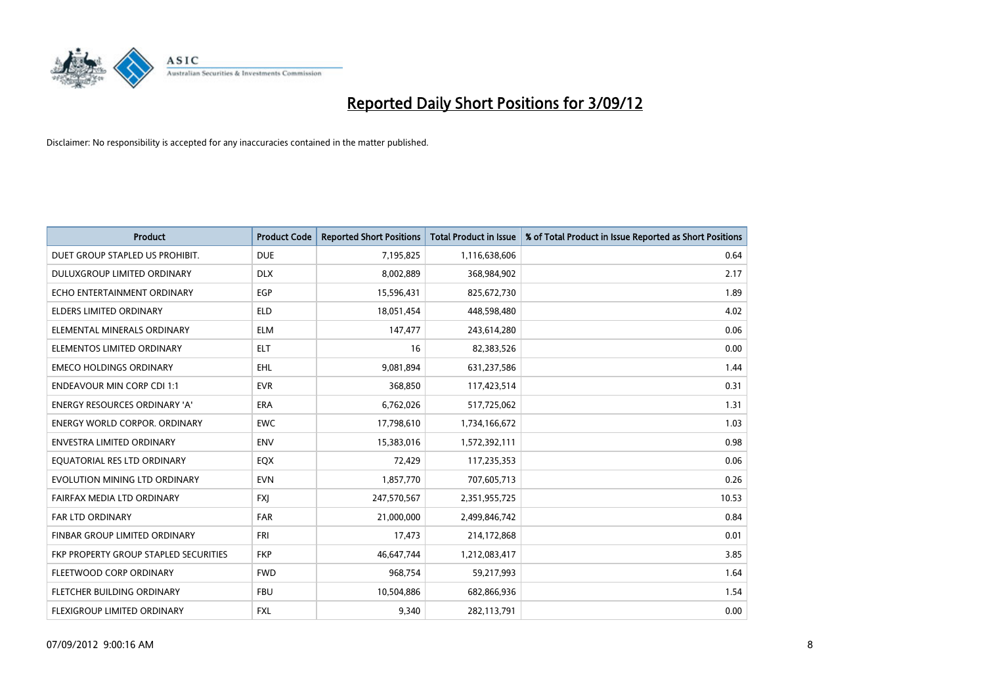

| <b>Product</b>                        | <b>Product Code</b> | <b>Reported Short Positions</b> | <b>Total Product in Issue</b> | % of Total Product in Issue Reported as Short Positions |
|---------------------------------------|---------------------|---------------------------------|-------------------------------|---------------------------------------------------------|
| DUET GROUP STAPLED US PROHIBIT.       | <b>DUE</b>          | 7,195,825                       | 1,116,638,606                 | 0.64                                                    |
| DULUXGROUP LIMITED ORDINARY           | <b>DLX</b>          | 8,002,889                       | 368,984,902                   | 2.17                                                    |
| ECHO ENTERTAINMENT ORDINARY           | EGP                 | 15,596,431                      | 825,672,730                   | 1.89                                                    |
| ELDERS LIMITED ORDINARY               | <b>ELD</b>          | 18,051,454                      | 448,598,480                   | 4.02                                                    |
| ELEMENTAL MINERALS ORDINARY           | <b>ELM</b>          | 147,477                         | 243,614,280                   | 0.06                                                    |
| ELEMENTOS LIMITED ORDINARY            | <b>ELT</b>          | 16                              | 82,383,526                    | 0.00                                                    |
| <b>EMECO HOLDINGS ORDINARY</b>        | <b>EHL</b>          | 9.081.894                       | 631,237,586                   | 1.44                                                    |
| <b>ENDEAVOUR MIN CORP CDI 1:1</b>     | <b>EVR</b>          | 368,850                         | 117,423,514                   | 0.31                                                    |
| ENERGY RESOURCES ORDINARY 'A'         | ERA                 | 6,762,026                       | 517,725,062                   | 1.31                                                    |
| <b>ENERGY WORLD CORPOR, ORDINARY</b>  | <b>EWC</b>          | 17,798,610                      | 1,734,166,672                 | 1.03                                                    |
| ENVESTRA LIMITED ORDINARY             | <b>ENV</b>          | 15,383,016                      | 1,572,392,111                 | 0.98                                                    |
| EQUATORIAL RES LTD ORDINARY           | <b>EQX</b>          | 72,429                          | 117,235,353                   | 0.06                                                    |
| EVOLUTION MINING LTD ORDINARY         | <b>EVN</b>          | 1,857,770                       | 707,605,713                   | 0.26                                                    |
| FAIRFAX MEDIA LTD ORDINARY            | <b>FXI</b>          | 247,570,567                     | 2,351,955,725                 | 10.53                                                   |
| <b>FAR LTD ORDINARY</b>               | <b>FAR</b>          | 21,000,000                      | 2,499,846,742                 | 0.84                                                    |
| FINBAR GROUP LIMITED ORDINARY         | <b>FRI</b>          | 17,473                          | 214,172,868                   | 0.01                                                    |
| FKP PROPERTY GROUP STAPLED SECURITIES | <b>FKP</b>          | 46,647,744                      | 1,212,083,417                 | 3.85                                                    |
| FLEETWOOD CORP ORDINARY               | <b>FWD</b>          | 968,754                         | 59,217,993                    | 1.64                                                    |
| FLETCHER BUILDING ORDINARY            | <b>FBU</b>          | 10,504,886                      | 682,866,936                   | 1.54                                                    |
| <b>FLEXIGROUP LIMITED ORDINARY</b>    | <b>FXL</b>          | 9.340                           | 282,113,791                   | 0.00                                                    |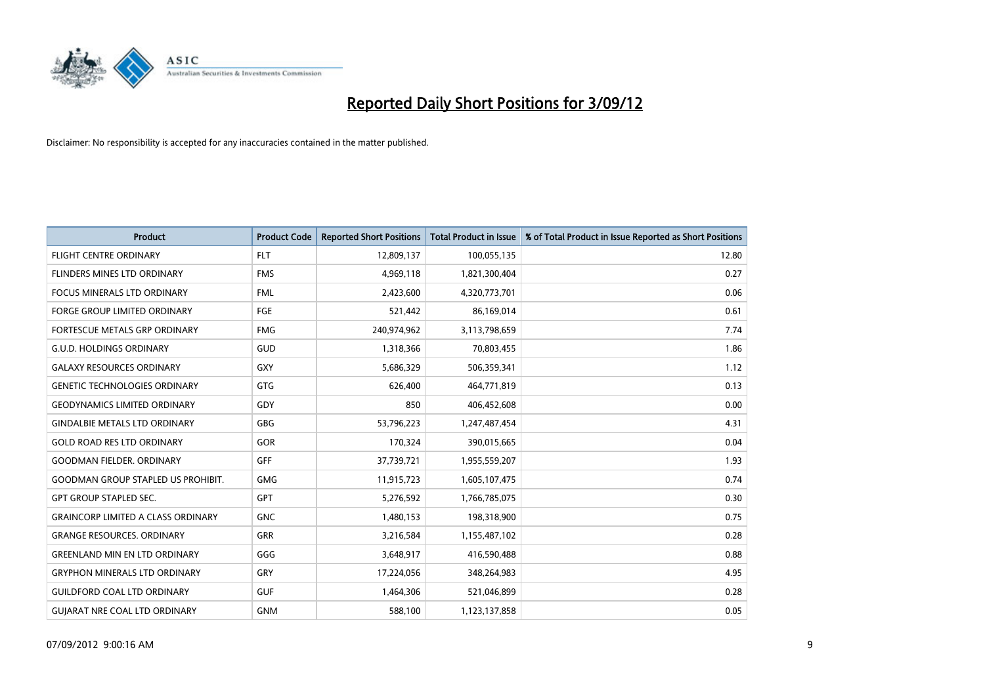

| <b>Product</b>                            | <b>Product Code</b> | <b>Reported Short Positions</b> | <b>Total Product in Issue</b> | % of Total Product in Issue Reported as Short Positions |
|-------------------------------------------|---------------------|---------------------------------|-------------------------------|---------------------------------------------------------|
| <b>FLIGHT CENTRE ORDINARY</b>             | <b>FLT</b>          | 12,809,137                      | 100,055,135                   | 12.80                                                   |
| FLINDERS MINES LTD ORDINARY               | <b>FMS</b>          | 4,969,118                       | 1,821,300,404                 | 0.27                                                    |
| <b>FOCUS MINERALS LTD ORDINARY</b>        | <b>FML</b>          | 2,423,600                       | 4,320,773,701                 | 0.06                                                    |
| FORGE GROUP LIMITED ORDINARY              | FGE                 | 521,442                         | 86,169,014                    | 0.61                                                    |
| FORTESCUE METALS GRP ORDINARY             | <b>FMG</b>          | 240,974,962                     | 3,113,798,659                 | 7.74                                                    |
| <b>G.U.D. HOLDINGS ORDINARY</b>           | <b>GUD</b>          | 1,318,366                       | 70,803,455                    | 1.86                                                    |
| <b>GALAXY RESOURCES ORDINARY</b>          | <b>GXY</b>          | 5,686,329                       | 506,359,341                   | 1.12                                                    |
| <b>GENETIC TECHNOLOGIES ORDINARY</b>      | <b>GTG</b>          | 626,400                         | 464,771,819                   | 0.13                                                    |
| <b>GEODYNAMICS LIMITED ORDINARY</b>       | GDY                 | 850                             | 406,452,608                   | 0.00                                                    |
| <b>GINDALBIE METALS LTD ORDINARY</b>      | GBG                 | 53,796,223                      | 1,247,487,454                 | 4.31                                                    |
| <b>GOLD ROAD RES LTD ORDINARY</b>         | GOR                 | 170,324                         | 390,015,665                   | 0.04                                                    |
| <b>GOODMAN FIELDER, ORDINARY</b>          | GFF                 | 37,739,721                      | 1,955,559,207                 | 1.93                                                    |
| <b>GOODMAN GROUP STAPLED US PROHIBIT.</b> | <b>GMG</b>          | 11,915,723                      | 1,605,107,475                 | 0.74                                                    |
| <b>GPT GROUP STAPLED SEC.</b>             | <b>GPT</b>          | 5,276,592                       | 1,766,785,075                 | 0.30                                                    |
| <b>GRAINCORP LIMITED A CLASS ORDINARY</b> | <b>GNC</b>          | 1,480,153                       | 198,318,900                   | 0.75                                                    |
| <b>GRANGE RESOURCES. ORDINARY</b>         | GRR                 | 3,216,584                       | 1,155,487,102                 | 0.28                                                    |
| <b>GREENLAND MIN EN LTD ORDINARY</b>      | GGG                 | 3,648,917                       | 416,590,488                   | 0.88                                                    |
| <b>GRYPHON MINERALS LTD ORDINARY</b>      | GRY                 | 17,224,056                      | 348,264,983                   | 4.95                                                    |
| <b>GUILDFORD COAL LTD ORDINARY</b>        | <b>GUF</b>          | 1,464,306                       | 521,046,899                   | 0.28                                                    |
| <b>GUIARAT NRE COAL LTD ORDINARY</b>      | <b>GNM</b>          | 588.100                         | 1,123,137,858                 | 0.05                                                    |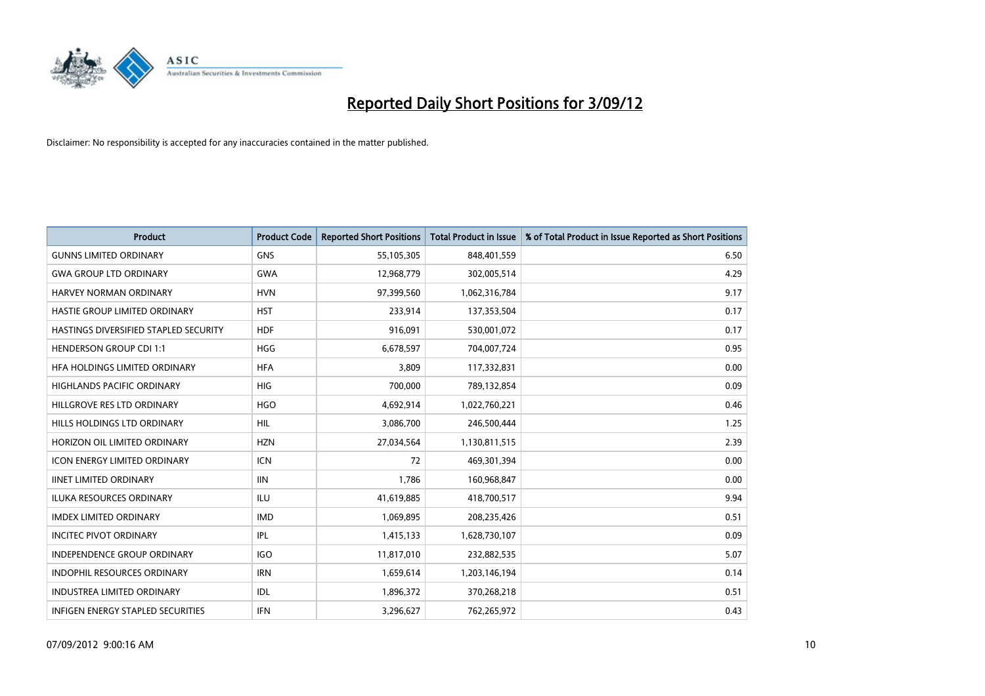

| <b>Product</b>                           | <b>Product Code</b> | <b>Reported Short Positions</b> | <b>Total Product in Issue</b> | % of Total Product in Issue Reported as Short Positions |
|------------------------------------------|---------------------|---------------------------------|-------------------------------|---------------------------------------------------------|
| <b>GUNNS LIMITED ORDINARY</b>            | <b>GNS</b>          | 55,105,305                      | 848,401,559                   | 6.50                                                    |
| <b>GWA GROUP LTD ORDINARY</b>            | <b>GWA</b>          | 12,968,779                      | 302,005,514                   | 4.29                                                    |
| <b>HARVEY NORMAN ORDINARY</b>            | <b>HVN</b>          | 97,399,560                      | 1,062,316,784                 | 9.17                                                    |
| HASTIE GROUP LIMITED ORDINARY            | <b>HST</b>          | 233,914                         | 137,353,504                   | 0.17                                                    |
| HASTINGS DIVERSIFIED STAPLED SECURITY    | <b>HDF</b>          | 916,091                         | 530,001,072                   | 0.17                                                    |
| <b>HENDERSON GROUP CDI 1:1</b>           | <b>HGG</b>          | 6,678,597                       | 704,007,724                   | 0.95                                                    |
| HFA HOLDINGS LIMITED ORDINARY            | <b>HFA</b>          | 3.809                           | 117,332,831                   | 0.00                                                    |
| <b>HIGHLANDS PACIFIC ORDINARY</b>        | <b>HIG</b>          | 700,000                         | 789,132,854                   | 0.09                                                    |
| HILLGROVE RES LTD ORDINARY               | <b>HGO</b>          | 4,692,914                       | 1,022,760,221                 | 0.46                                                    |
| HILLS HOLDINGS LTD ORDINARY              | <b>HIL</b>          | 3,086,700                       | 246,500,444                   | 1.25                                                    |
| HORIZON OIL LIMITED ORDINARY             | <b>HZN</b>          | 27,034,564                      | 1,130,811,515                 | 2.39                                                    |
| <b>ICON ENERGY LIMITED ORDINARY</b>      | <b>ICN</b>          | 72                              | 469,301,394                   | 0.00                                                    |
| <b>IINET LIMITED ORDINARY</b>            | <b>IIN</b>          | 1,786                           | 160,968,847                   | 0.00                                                    |
| <b>ILUKA RESOURCES ORDINARY</b>          | ILU                 | 41,619,885                      | 418,700,517                   | 9.94                                                    |
| <b>IMDEX LIMITED ORDINARY</b>            | <b>IMD</b>          | 1,069,895                       | 208,235,426                   | 0.51                                                    |
| <b>INCITEC PIVOT ORDINARY</b>            | IPL                 | 1,415,133                       | 1,628,730,107                 | 0.09                                                    |
| <b>INDEPENDENCE GROUP ORDINARY</b>       | <b>IGO</b>          | 11,817,010                      | 232,882,535                   | 5.07                                                    |
| INDOPHIL RESOURCES ORDINARY              | <b>IRN</b>          | 1,659,614                       | 1,203,146,194                 | 0.14                                                    |
| <b>INDUSTREA LIMITED ORDINARY</b>        | IDL                 | 1,896,372                       | 370,268,218                   | 0.51                                                    |
| <b>INFIGEN ENERGY STAPLED SECURITIES</b> | <b>IFN</b>          | 3.296.627                       | 762.265.972                   | 0.43                                                    |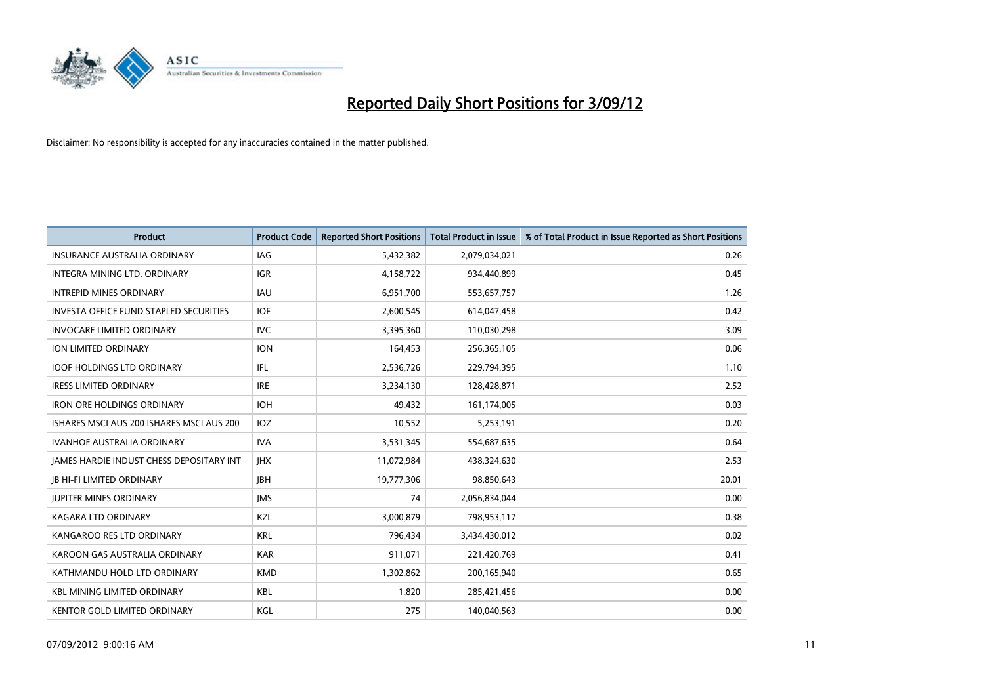

| <b>Product</b>                                  | <b>Product Code</b> | <b>Reported Short Positions</b> | <b>Total Product in Issue</b> | % of Total Product in Issue Reported as Short Positions |
|-------------------------------------------------|---------------------|---------------------------------|-------------------------------|---------------------------------------------------------|
| <b>INSURANCE AUSTRALIA ORDINARY</b>             | IAG                 | 5,432,382                       | 2,079,034,021                 | 0.26                                                    |
| INTEGRA MINING LTD. ORDINARY                    | <b>IGR</b>          | 4,158,722                       | 934,440,899                   | 0.45                                                    |
| <b>INTREPID MINES ORDINARY</b>                  | <b>IAU</b>          | 6,951,700                       | 553,657,757                   | 1.26                                                    |
| <b>INVESTA OFFICE FUND STAPLED SECURITIES</b>   | <b>IOF</b>          | 2,600,545                       | 614,047,458                   | 0.42                                                    |
| <b>INVOCARE LIMITED ORDINARY</b>                | <b>IVC</b>          | 3,395,360                       | 110,030,298                   | 3.09                                                    |
| ION LIMITED ORDINARY                            | <b>ION</b>          | 164,453                         | 256,365,105                   | 0.06                                                    |
| <b>IOOF HOLDINGS LTD ORDINARY</b>               | IFL                 | 2,536,726                       | 229,794,395                   | 1.10                                                    |
| <b>IRESS LIMITED ORDINARY</b>                   | <b>IRE</b>          | 3,234,130                       | 128,428,871                   | 2.52                                                    |
| <b>IRON ORE HOLDINGS ORDINARY</b>               | <b>IOH</b>          | 49,432                          | 161,174,005                   | 0.03                                                    |
| ISHARES MSCLAUS 200 ISHARES MSCLAUS 200         | IOZ                 | 10,552                          | 5,253,191                     | 0.20                                                    |
| <b>IVANHOE AUSTRALIA ORDINARY</b>               | IVA.                | 3,531,345                       | 554,687,635                   | 0.64                                                    |
| <b>JAMES HARDIE INDUST CHESS DEPOSITARY INT</b> | <b>IHX</b>          | 11,072,984                      | 438,324,630                   | 2.53                                                    |
| <b>JB HI-FI LIMITED ORDINARY</b>                | <b>IBH</b>          | 19,777,306                      | 98,850,643                    | 20.01                                                   |
| <b>JUPITER MINES ORDINARY</b>                   | <b>IMS</b>          | 74                              | 2,056,834,044                 | 0.00                                                    |
| KAGARA LTD ORDINARY                             | <b>KZL</b>          | 3,000,879                       | 798,953,117                   | 0.38                                                    |
| KANGAROO RES LTD ORDINARY                       | <b>KRL</b>          | 796,434                         | 3,434,430,012                 | 0.02                                                    |
| KAROON GAS AUSTRALIA ORDINARY                   | <b>KAR</b>          | 911,071                         | 221,420,769                   | 0.41                                                    |
| KATHMANDU HOLD LTD ORDINARY                     | <b>KMD</b>          | 1,302,862                       | 200,165,940                   | 0.65                                                    |
| <b>KBL MINING LIMITED ORDINARY</b>              | <b>KBL</b>          | 1,820                           | 285,421,456                   | 0.00                                                    |
| KENTOR GOLD LIMITED ORDINARY                    | KGL                 | 275                             | 140,040,563                   | 0.00                                                    |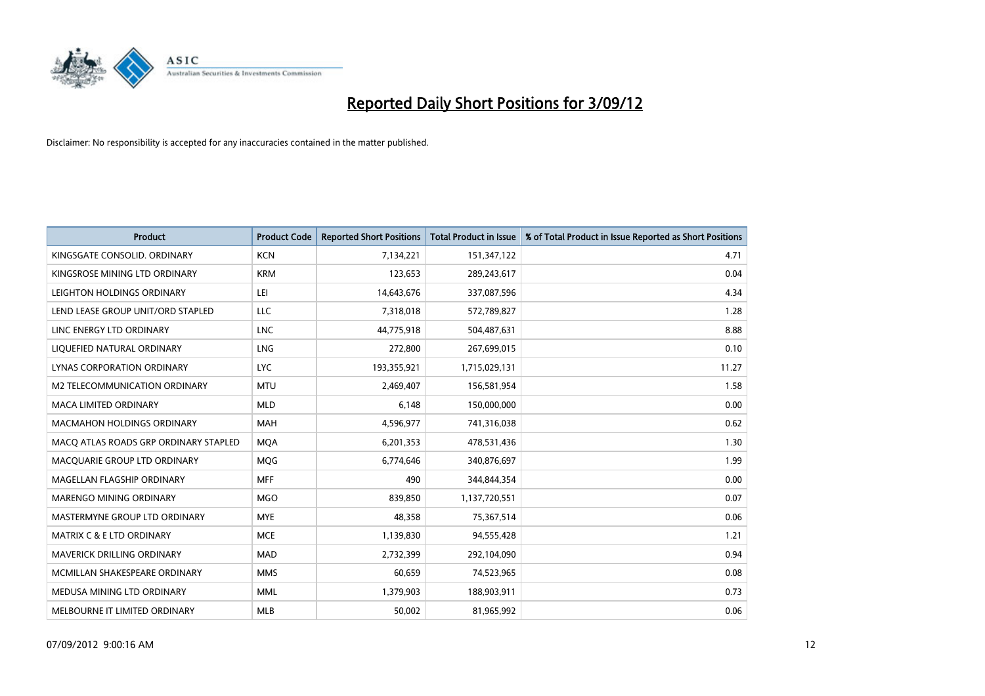

| <b>Product</b>                        | <b>Product Code</b> | <b>Reported Short Positions</b> | <b>Total Product in Issue</b> | % of Total Product in Issue Reported as Short Positions |
|---------------------------------------|---------------------|---------------------------------|-------------------------------|---------------------------------------------------------|
| KINGSGATE CONSOLID. ORDINARY          | <b>KCN</b>          | 7,134,221                       | 151,347,122                   | 4.71                                                    |
| KINGSROSE MINING LTD ORDINARY         | <b>KRM</b>          | 123,653                         | 289,243,617                   | 0.04                                                    |
| LEIGHTON HOLDINGS ORDINARY            | LEI                 | 14,643,676                      | 337,087,596                   | 4.34                                                    |
| LEND LEASE GROUP UNIT/ORD STAPLED     | LLC                 | 7,318,018                       | 572,789,827                   | 1.28                                                    |
| LINC ENERGY LTD ORDINARY              | <b>LNC</b>          | 44,775,918                      | 504,487,631                   | 8.88                                                    |
| LIQUEFIED NATURAL ORDINARY            | LNG                 | 272,800                         | 267,699,015                   | 0.10                                                    |
| LYNAS CORPORATION ORDINARY            | <b>LYC</b>          | 193,355,921                     | 1,715,029,131                 | 11.27                                                   |
| M2 TELECOMMUNICATION ORDINARY         | <b>MTU</b>          | 2,469,407                       | 156,581,954                   | 1.58                                                    |
| <b>MACA LIMITED ORDINARY</b>          | <b>MLD</b>          | 6,148                           | 150,000,000                   | 0.00                                                    |
| <b>MACMAHON HOLDINGS ORDINARY</b>     | <b>MAH</b>          | 4,596,977                       | 741,316,038                   | 0.62                                                    |
| MACQ ATLAS ROADS GRP ORDINARY STAPLED | <b>MOA</b>          | 6,201,353                       | 478,531,436                   | 1.30                                                    |
| MACQUARIE GROUP LTD ORDINARY          | MQG                 | 6,774,646                       | 340,876,697                   | 1.99                                                    |
| MAGELLAN FLAGSHIP ORDINARY            | <b>MFF</b>          | 490                             | 344,844,354                   | 0.00                                                    |
| <b>MARENGO MINING ORDINARY</b>        | <b>MGO</b>          | 839,850                         | 1,137,720,551                 | 0.07                                                    |
| MASTERMYNE GROUP LTD ORDINARY         | <b>MYE</b>          | 48,358                          | 75,367,514                    | 0.06                                                    |
| MATRIX C & E LTD ORDINARY             | <b>MCE</b>          | 1,139,830                       | 94,555,428                    | 1.21                                                    |
| MAVERICK DRILLING ORDINARY            | <b>MAD</b>          | 2,732,399                       | 292,104,090                   | 0.94                                                    |
| MCMILLAN SHAKESPEARE ORDINARY         | <b>MMS</b>          | 60,659                          | 74,523,965                    | 0.08                                                    |
| MEDUSA MINING LTD ORDINARY            | <b>MML</b>          | 1,379,903                       | 188,903,911                   | 0.73                                                    |
| MELBOURNE IT LIMITED ORDINARY         | <b>MLB</b>          | 50,002                          | 81,965,992                    | 0.06                                                    |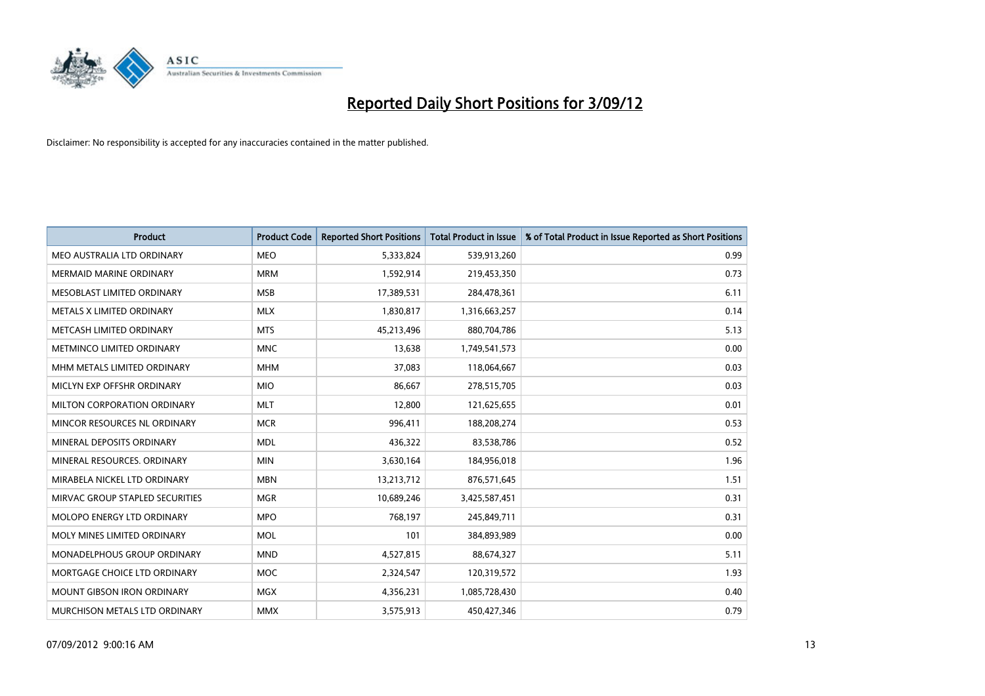

| <b>Product</b>                    | <b>Product Code</b> | <b>Reported Short Positions</b> | <b>Total Product in Issue</b> | % of Total Product in Issue Reported as Short Positions |
|-----------------------------------|---------------------|---------------------------------|-------------------------------|---------------------------------------------------------|
| MEO AUSTRALIA LTD ORDINARY        | <b>MEO</b>          | 5,333,824                       | 539,913,260                   | 0.99                                                    |
| <b>MERMAID MARINE ORDINARY</b>    | <b>MRM</b>          | 1,592,914                       | 219,453,350                   | 0.73                                                    |
| MESOBLAST LIMITED ORDINARY        | <b>MSB</b>          | 17,389,531                      | 284,478,361                   | 6.11                                                    |
| METALS X LIMITED ORDINARY         | <b>MLX</b>          | 1,830,817                       | 1,316,663,257                 | 0.14                                                    |
| METCASH LIMITED ORDINARY          | <b>MTS</b>          | 45,213,496                      | 880,704,786                   | 5.13                                                    |
| METMINCO LIMITED ORDINARY         | <b>MNC</b>          | 13,638                          | 1,749,541,573                 | 0.00                                                    |
| MHM METALS LIMITED ORDINARY       | <b>MHM</b>          | 37,083                          | 118,064,667                   | 0.03                                                    |
| MICLYN EXP OFFSHR ORDINARY        | <b>MIO</b>          | 86,667                          | 278,515,705                   | 0.03                                                    |
| MILTON CORPORATION ORDINARY       | <b>MLT</b>          | 12,800                          | 121,625,655                   | 0.01                                                    |
| MINCOR RESOURCES NL ORDINARY      | <b>MCR</b>          | 996,411                         | 188,208,274                   | 0.53                                                    |
| MINERAL DEPOSITS ORDINARY         | <b>MDL</b>          | 436,322                         | 83,538,786                    | 0.52                                                    |
| MINERAL RESOURCES, ORDINARY       | <b>MIN</b>          | 3,630,164                       | 184,956,018                   | 1.96                                                    |
| MIRABELA NICKEL LTD ORDINARY      | <b>MBN</b>          | 13,213,712                      | 876,571,645                   | 1.51                                                    |
| MIRVAC GROUP STAPLED SECURITIES   | <b>MGR</b>          | 10,689,246                      | 3,425,587,451                 | 0.31                                                    |
| MOLOPO ENERGY LTD ORDINARY        | <b>MPO</b>          | 768,197                         | 245,849,711                   | 0.31                                                    |
| MOLY MINES LIMITED ORDINARY       | <b>MOL</b>          | 101                             | 384,893,989                   | 0.00                                                    |
| MONADELPHOUS GROUP ORDINARY       | <b>MND</b>          | 4,527,815                       | 88,674,327                    | 5.11                                                    |
| MORTGAGE CHOICE LTD ORDINARY      | <b>MOC</b>          | 2,324,547                       | 120,319,572                   | 1.93                                                    |
| <b>MOUNT GIBSON IRON ORDINARY</b> | <b>MGX</b>          | 4,356,231                       | 1,085,728,430                 | 0.40                                                    |
| MURCHISON METALS LTD ORDINARY     | <b>MMX</b>          | 3,575,913                       | 450,427,346                   | 0.79                                                    |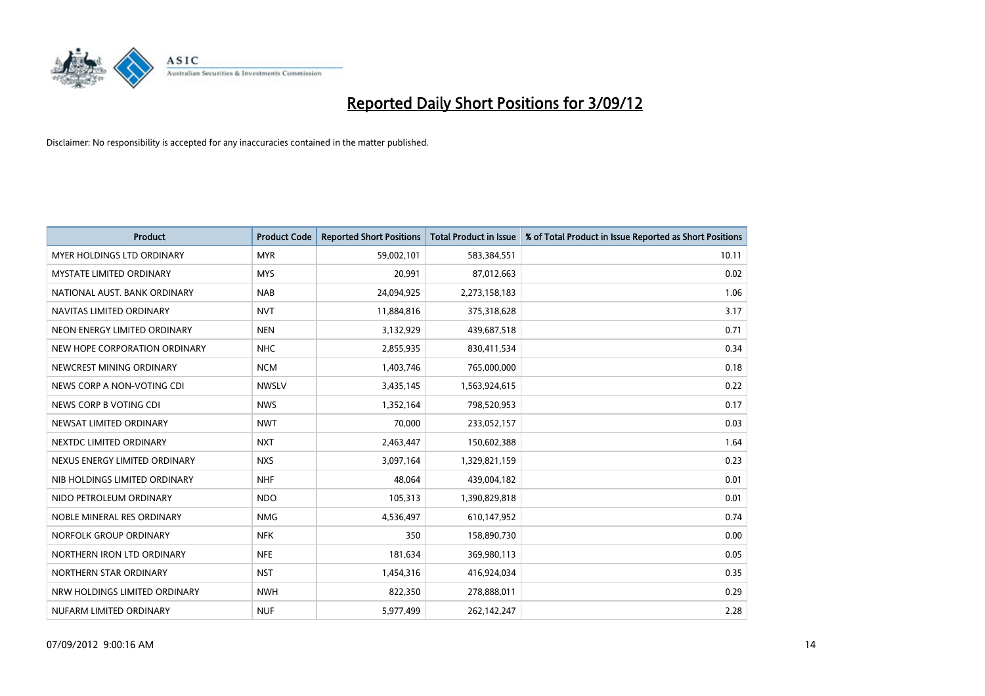

| <b>Product</b>                    | <b>Product Code</b> | <b>Reported Short Positions</b> | <b>Total Product in Issue</b> | % of Total Product in Issue Reported as Short Positions |
|-----------------------------------|---------------------|---------------------------------|-------------------------------|---------------------------------------------------------|
| <b>MYER HOLDINGS LTD ORDINARY</b> | <b>MYR</b>          | 59,002,101                      | 583,384,551                   | 10.11                                                   |
| <b>MYSTATE LIMITED ORDINARY</b>   | <b>MYS</b>          | 20,991                          | 87,012,663                    | 0.02                                                    |
| NATIONAL AUST, BANK ORDINARY      | <b>NAB</b>          | 24,094,925                      | 2,273,158,183                 | 1.06                                                    |
| NAVITAS LIMITED ORDINARY          | <b>NVT</b>          | 11,884,816                      | 375,318,628                   | 3.17                                                    |
| NEON ENERGY LIMITED ORDINARY      | <b>NEN</b>          | 3,132,929                       | 439,687,518                   | 0.71                                                    |
| NEW HOPE CORPORATION ORDINARY     | <b>NHC</b>          | 2,855,935                       | 830,411,534                   | 0.34                                                    |
| NEWCREST MINING ORDINARY          | <b>NCM</b>          | 1,403,746                       | 765,000,000                   | 0.18                                                    |
| NEWS CORP A NON-VOTING CDI        | <b>NWSLV</b>        | 3,435,145                       | 1,563,924,615                 | 0.22                                                    |
| NEWS CORP B VOTING CDI            | <b>NWS</b>          | 1,352,164                       | 798,520,953                   | 0.17                                                    |
| NEWSAT LIMITED ORDINARY           | <b>NWT</b>          | 70,000                          | 233,052,157                   | 0.03                                                    |
| NEXTDC LIMITED ORDINARY           | <b>NXT</b>          | 2,463,447                       | 150,602,388                   | 1.64                                                    |
| NEXUS ENERGY LIMITED ORDINARY     | <b>NXS</b>          | 3,097,164                       | 1,329,821,159                 | 0.23                                                    |
| NIB HOLDINGS LIMITED ORDINARY     | <b>NHF</b>          | 48,064                          | 439,004,182                   | 0.01                                                    |
| NIDO PETROLEUM ORDINARY           | <b>NDO</b>          | 105,313                         | 1,390,829,818                 | 0.01                                                    |
| NOBLE MINERAL RES ORDINARY        | <b>NMG</b>          | 4,536,497                       | 610,147,952                   | 0.74                                                    |
| NORFOLK GROUP ORDINARY            | <b>NFK</b>          | 350                             | 158,890,730                   | 0.00                                                    |
| NORTHERN IRON LTD ORDINARY        | <b>NFE</b>          | 181,634                         | 369,980,113                   | 0.05                                                    |
| NORTHERN STAR ORDINARY            | <b>NST</b>          | 1,454,316                       | 416,924,034                   | 0.35                                                    |
| NRW HOLDINGS LIMITED ORDINARY     | <b>NWH</b>          | 822,350                         | 278,888,011                   | 0.29                                                    |
| NUFARM LIMITED ORDINARY           | <b>NUF</b>          | 5,977,499                       | 262,142,247                   | 2.28                                                    |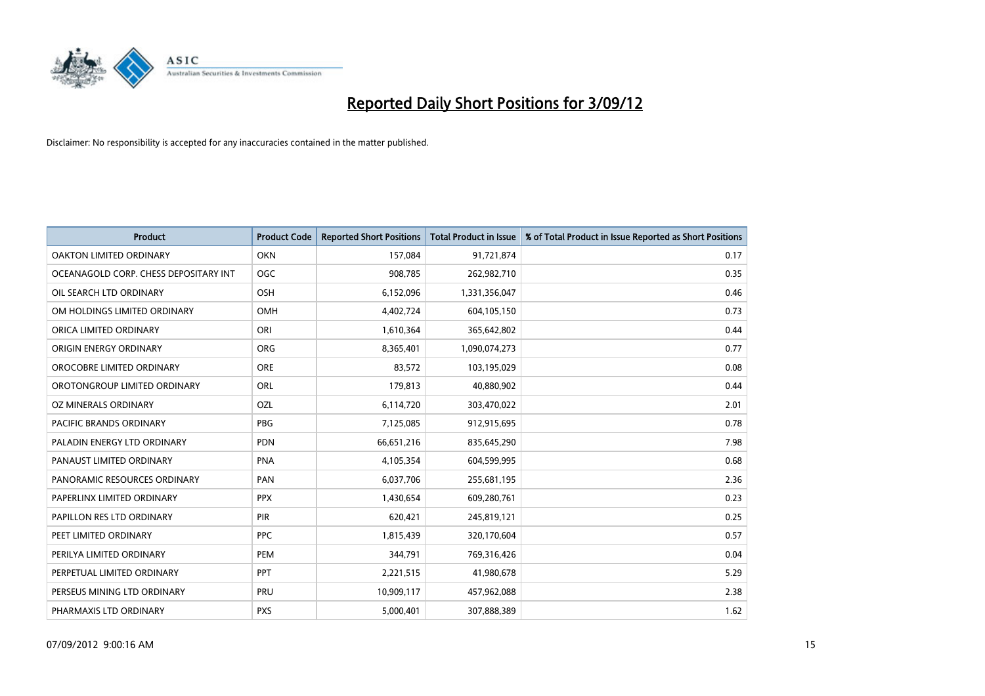

| <b>Product</b>                        | <b>Product Code</b> | <b>Reported Short Positions</b> | <b>Total Product in Issue</b> | % of Total Product in Issue Reported as Short Positions |
|---------------------------------------|---------------------|---------------------------------|-------------------------------|---------------------------------------------------------|
| <b>OAKTON LIMITED ORDINARY</b>        | <b>OKN</b>          | 157,084                         | 91,721,874                    | 0.17                                                    |
| OCEANAGOLD CORP. CHESS DEPOSITARY INT | <b>OGC</b>          | 908,785                         | 262,982,710                   | 0.35                                                    |
| OIL SEARCH LTD ORDINARY               | <b>OSH</b>          | 6,152,096                       | 1,331,356,047                 | 0.46                                                    |
| OM HOLDINGS LIMITED ORDINARY          | <b>OMH</b>          | 4,402,724                       | 604,105,150                   | 0.73                                                    |
| ORICA LIMITED ORDINARY                | ORI                 | 1,610,364                       | 365,642,802                   | 0.44                                                    |
| ORIGIN ENERGY ORDINARY                | <b>ORG</b>          | 8,365,401                       | 1,090,074,273                 | 0.77                                                    |
| OROCOBRE LIMITED ORDINARY             | <b>ORE</b>          | 83,572                          | 103,195,029                   | 0.08                                                    |
| OROTONGROUP LIMITED ORDINARY          | <b>ORL</b>          | 179,813                         | 40,880,902                    | 0.44                                                    |
| OZ MINERALS ORDINARY                  | OZL                 | 6,114,720                       | 303,470,022                   | 2.01                                                    |
| <b>PACIFIC BRANDS ORDINARY</b>        | <b>PBG</b>          | 7,125,085                       | 912,915,695                   | 0.78                                                    |
| PALADIN ENERGY LTD ORDINARY           | <b>PDN</b>          | 66,651,216                      | 835,645,290                   | 7.98                                                    |
| PANAUST LIMITED ORDINARY              | <b>PNA</b>          | 4,105,354                       | 604,599,995                   | 0.68                                                    |
| PANORAMIC RESOURCES ORDINARY          | PAN                 | 6,037,706                       | 255,681,195                   | 2.36                                                    |
| PAPERLINX LIMITED ORDINARY            | <b>PPX</b>          | 1,430,654                       | 609,280,761                   | 0.23                                                    |
| PAPILLON RES LTD ORDINARY             | <b>PIR</b>          | 620,421                         | 245,819,121                   | 0.25                                                    |
| PEET LIMITED ORDINARY                 | <b>PPC</b>          | 1,815,439                       | 320,170,604                   | 0.57                                                    |
| PERILYA LIMITED ORDINARY              | PEM                 | 344,791                         | 769,316,426                   | 0.04                                                    |
| PERPETUAL LIMITED ORDINARY            | <b>PPT</b>          | 2,221,515                       | 41,980,678                    | 5.29                                                    |
| PERSEUS MINING LTD ORDINARY           | PRU                 | 10,909,117                      | 457,962,088                   | 2.38                                                    |
| PHARMAXIS LTD ORDINARY                | <b>PXS</b>          | 5,000,401                       | 307,888,389                   | 1.62                                                    |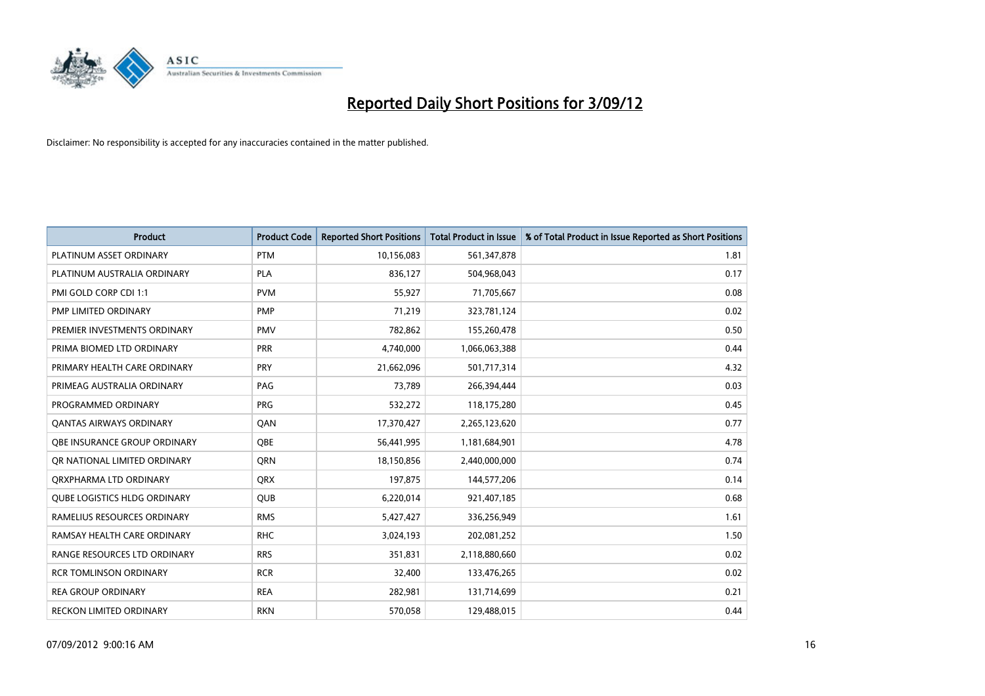

| <b>Product</b>                      | <b>Product Code</b> | <b>Reported Short Positions</b> | <b>Total Product in Issue</b> | % of Total Product in Issue Reported as Short Positions |
|-------------------------------------|---------------------|---------------------------------|-------------------------------|---------------------------------------------------------|
| PLATINUM ASSET ORDINARY             | <b>PTM</b>          | 10,156,083                      | 561,347,878                   | 1.81                                                    |
| PLATINUM AUSTRALIA ORDINARY         | <b>PLA</b>          | 836,127                         | 504,968,043                   | 0.17                                                    |
| PMI GOLD CORP CDI 1:1               | <b>PVM</b>          | 55,927                          | 71,705,667                    | 0.08                                                    |
| PMP LIMITED ORDINARY                | <b>PMP</b>          | 71,219                          | 323,781,124                   | 0.02                                                    |
| PREMIER INVESTMENTS ORDINARY        | <b>PMV</b>          | 782,862                         | 155,260,478                   | 0.50                                                    |
| PRIMA BIOMED LTD ORDINARY           | PRR                 | 4,740,000                       | 1,066,063,388                 | 0.44                                                    |
| PRIMARY HEALTH CARE ORDINARY        | <b>PRY</b>          | 21,662,096                      | 501,717,314                   | 4.32                                                    |
| PRIMEAG AUSTRALIA ORDINARY          | PAG                 | 73,789                          | 266,394,444                   | 0.03                                                    |
| PROGRAMMED ORDINARY                 | <b>PRG</b>          | 532,272                         | 118,175,280                   | 0.45                                                    |
| <b>QANTAS AIRWAYS ORDINARY</b>      | QAN                 | 17,370,427                      | 2,265,123,620                 | 0.77                                                    |
| <b>OBE INSURANCE GROUP ORDINARY</b> | <b>OBE</b>          | 56,441,995                      | 1,181,684,901                 | 4.78                                                    |
| OR NATIONAL LIMITED ORDINARY        | <b>ORN</b>          | 18,150,856                      | 2,440,000,000                 | 0.74                                                    |
| ORXPHARMA LTD ORDINARY              | <b>QRX</b>          | 197,875                         | 144,577,206                   | 0.14                                                    |
| <b>QUBE LOGISTICS HLDG ORDINARY</b> | QUB                 | 6,220,014                       | 921,407,185                   | 0.68                                                    |
| RAMELIUS RESOURCES ORDINARY         | <b>RMS</b>          | 5,427,427                       | 336,256,949                   | 1.61                                                    |
| RAMSAY HEALTH CARE ORDINARY         | <b>RHC</b>          | 3,024,193                       | 202,081,252                   | 1.50                                                    |
| RANGE RESOURCES LTD ORDINARY        | <b>RRS</b>          | 351,831                         | 2,118,880,660                 | 0.02                                                    |
| <b>RCR TOMLINSON ORDINARY</b>       | <b>RCR</b>          | 32,400                          | 133,476,265                   | 0.02                                                    |
| <b>REA GROUP ORDINARY</b>           | <b>REA</b>          | 282,981                         | 131,714,699                   | 0.21                                                    |
| RECKON LIMITED ORDINARY             | <b>RKN</b>          | 570,058                         | 129,488,015                   | 0.44                                                    |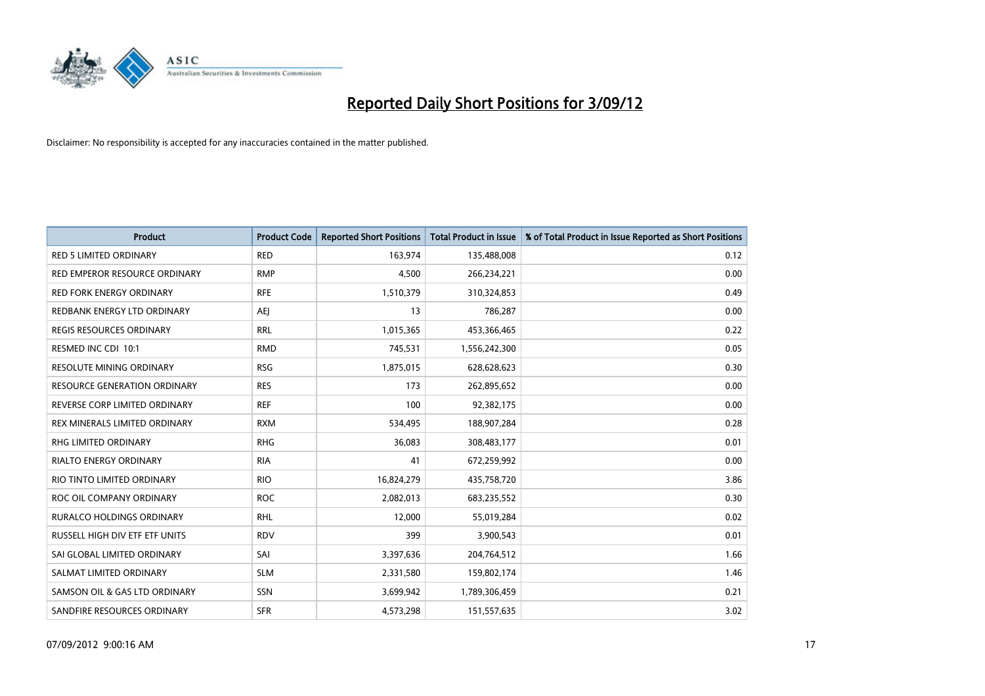

| <b>Product</b>                   | <b>Product Code</b> | <b>Reported Short Positions</b> | <b>Total Product in Issue</b> | % of Total Product in Issue Reported as Short Positions |
|----------------------------------|---------------------|---------------------------------|-------------------------------|---------------------------------------------------------|
| <b>RED 5 LIMITED ORDINARY</b>    | <b>RED</b>          | 163,974                         | 135,488,008                   | 0.12                                                    |
| RED EMPEROR RESOURCE ORDINARY    | <b>RMP</b>          | 4,500                           | 266,234,221                   | 0.00                                                    |
| <b>RED FORK ENERGY ORDINARY</b>  | <b>RFE</b>          | 1,510,379                       | 310,324,853                   | 0.49                                                    |
| REDBANK ENERGY LTD ORDINARY      | AEJ                 | 13                              | 786,287                       | 0.00                                                    |
| <b>REGIS RESOURCES ORDINARY</b>  | <b>RRL</b>          | 1,015,365                       | 453,366,465                   | 0.22                                                    |
| RESMED INC CDI 10:1              | <b>RMD</b>          | 745,531                         | 1,556,242,300                 | 0.05                                                    |
| <b>RESOLUTE MINING ORDINARY</b>  | <b>RSG</b>          | 1,875,015                       | 628,628,623                   | 0.30                                                    |
| RESOURCE GENERATION ORDINARY     | <b>RES</b>          | 173                             | 262,895,652                   | 0.00                                                    |
| REVERSE CORP LIMITED ORDINARY    | <b>REF</b>          | 100                             | 92,382,175                    | 0.00                                                    |
| REX MINERALS LIMITED ORDINARY    | <b>RXM</b>          | 534,495                         | 188,907,284                   | 0.28                                                    |
| RHG LIMITED ORDINARY             | <b>RHG</b>          | 36,083                          | 308,483,177                   | 0.01                                                    |
| <b>RIALTO ENERGY ORDINARY</b>    | <b>RIA</b>          | 41                              | 672,259,992                   | 0.00                                                    |
| RIO TINTO LIMITED ORDINARY       | <b>RIO</b>          | 16,824,279                      | 435,758,720                   | 3.86                                                    |
| ROC OIL COMPANY ORDINARY         | <b>ROC</b>          | 2,082,013                       | 683,235,552                   | 0.30                                                    |
| <b>RURALCO HOLDINGS ORDINARY</b> | <b>RHL</b>          | 12,000                          | 55,019,284                    | 0.02                                                    |
| RUSSELL HIGH DIV ETF ETF UNITS   | <b>RDV</b>          | 399                             | 3,900,543                     | 0.01                                                    |
| SAI GLOBAL LIMITED ORDINARY      | SAI                 | 3,397,636                       | 204,764,512                   | 1.66                                                    |
| SALMAT LIMITED ORDINARY          | <b>SLM</b>          | 2,331,580                       | 159,802,174                   | 1.46                                                    |
| SAMSON OIL & GAS LTD ORDINARY    | SSN                 | 3,699,942                       | 1,789,306,459                 | 0.21                                                    |
| SANDFIRE RESOURCES ORDINARY      | <b>SFR</b>          | 4,573,298                       | 151,557,635                   | 3.02                                                    |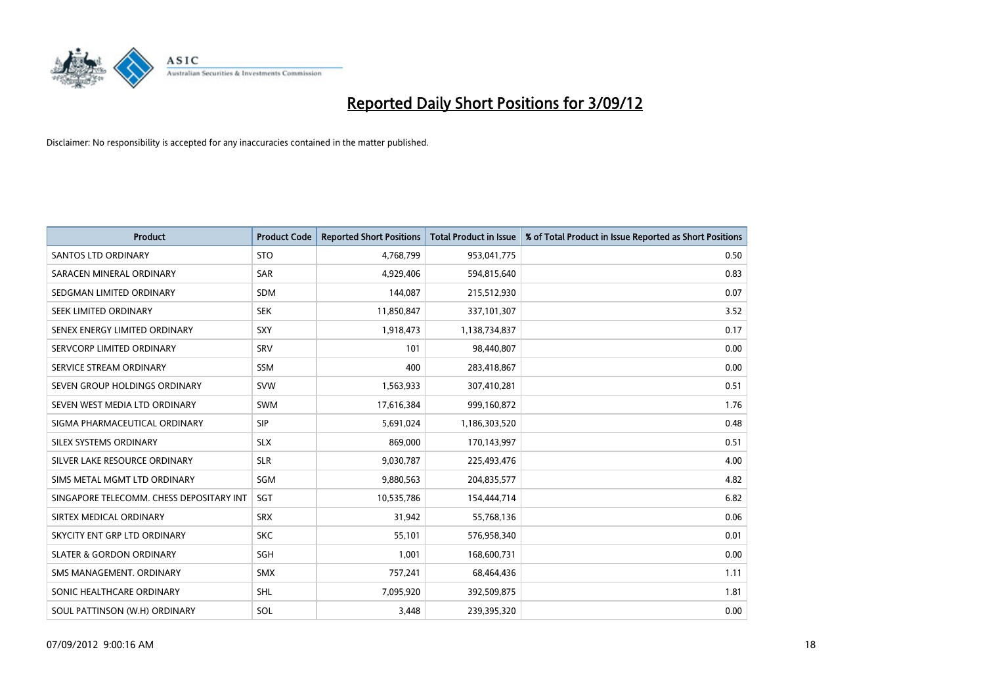

| <b>Product</b>                           | <b>Product Code</b> | <b>Reported Short Positions</b> | <b>Total Product in Issue</b> | % of Total Product in Issue Reported as Short Positions |
|------------------------------------------|---------------------|---------------------------------|-------------------------------|---------------------------------------------------------|
| <b>SANTOS LTD ORDINARY</b>               | <b>STO</b>          | 4,768,799                       | 953,041,775                   | 0.50                                                    |
| SARACEN MINERAL ORDINARY                 | <b>SAR</b>          | 4,929,406                       | 594,815,640                   | 0.83                                                    |
| SEDGMAN LIMITED ORDINARY                 | <b>SDM</b>          | 144,087                         | 215,512,930                   | 0.07                                                    |
| SEEK LIMITED ORDINARY                    | <b>SEK</b>          | 11,850,847                      | 337,101,307                   | 3.52                                                    |
| SENEX ENERGY LIMITED ORDINARY            | SXY                 | 1,918,473                       | 1,138,734,837                 | 0.17                                                    |
| SERVCORP LIMITED ORDINARY                | SRV                 | 101                             | 98,440,807                    | 0.00                                                    |
| SERVICE STREAM ORDINARY                  | <b>SSM</b>          | 400                             | 283,418,867                   | 0.00                                                    |
| SEVEN GROUP HOLDINGS ORDINARY            | <b>SVW</b>          | 1,563,933                       | 307,410,281                   | 0.51                                                    |
| SEVEN WEST MEDIA LTD ORDINARY            | <b>SWM</b>          | 17,616,384                      | 999,160,872                   | 1.76                                                    |
| SIGMA PHARMACEUTICAL ORDINARY            | <b>SIP</b>          | 5,691,024                       | 1,186,303,520                 | 0.48                                                    |
| SILEX SYSTEMS ORDINARY                   | <b>SLX</b>          | 869.000                         | 170,143,997                   | 0.51                                                    |
| SILVER LAKE RESOURCE ORDINARY            | <b>SLR</b>          | 9,030,787                       | 225,493,476                   | 4.00                                                    |
| SIMS METAL MGMT LTD ORDINARY             | SGM                 | 9,880,563                       | 204,835,577                   | 4.82                                                    |
| SINGAPORE TELECOMM. CHESS DEPOSITARY INT | <b>SGT</b>          | 10,535,786                      | 154,444,714                   | 6.82                                                    |
| SIRTEX MEDICAL ORDINARY                  | <b>SRX</b>          | 31,942                          | 55,768,136                    | 0.06                                                    |
| SKYCITY ENT GRP LTD ORDINARY             | <b>SKC</b>          | 55,101                          | 576,958,340                   | 0.01                                                    |
| <b>SLATER &amp; GORDON ORDINARY</b>      | SGH                 | 1,001                           | 168,600,731                   | 0.00                                                    |
| SMS MANAGEMENT. ORDINARY                 | <b>SMX</b>          | 757,241                         | 68,464,436                    | 1.11                                                    |
| SONIC HEALTHCARE ORDINARY                | <b>SHL</b>          | 7,095,920                       | 392,509,875                   | 1.81                                                    |
| SOUL PATTINSON (W.H) ORDINARY            | SOL                 | 3.448                           | 239.395.320                   | 0.00                                                    |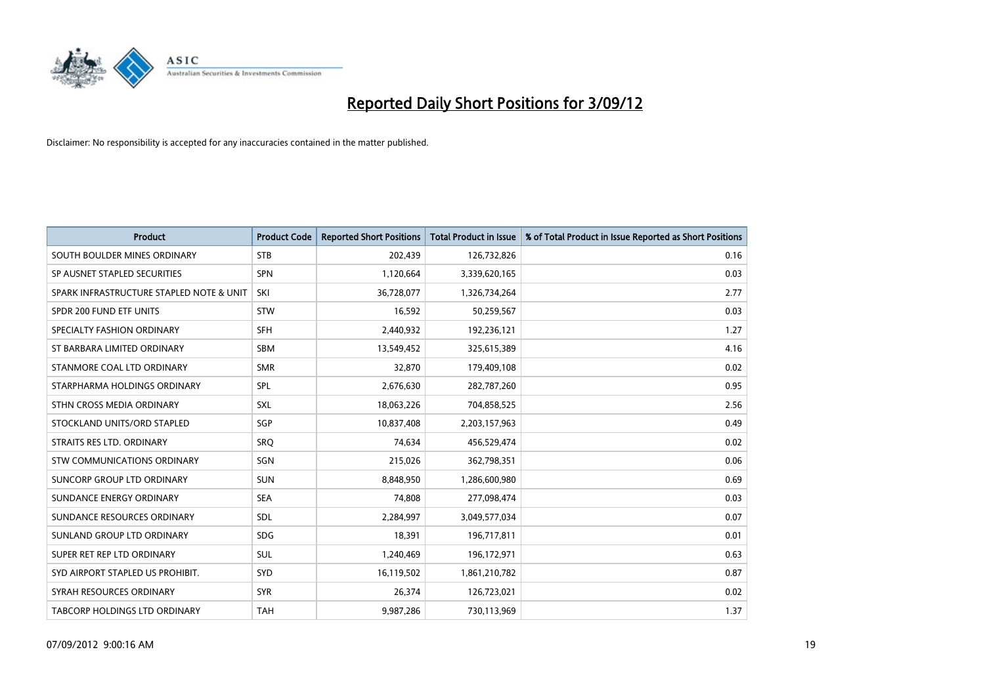

| <b>Product</b>                           | <b>Product Code</b> | <b>Reported Short Positions</b> | <b>Total Product in Issue</b> | % of Total Product in Issue Reported as Short Positions |
|------------------------------------------|---------------------|---------------------------------|-------------------------------|---------------------------------------------------------|
| SOUTH BOULDER MINES ORDINARY             | <b>STB</b>          | 202,439                         | 126,732,826                   | 0.16                                                    |
| SP AUSNET STAPLED SECURITIES             | <b>SPN</b>          | 1,120,664                       | 3,339,620,165                 | 0.03                                                    |
| SPARK INFRASTRUCTURE STAPLED NOTE & UNIT | SKI                 | 36,728,077                      | 1,326,734,264                 | 2.77                                                    |
| SPDR 200 FUND ETF UNITS                  | <b>STW</b>          | 16,592                          | 50,259,567                    | 0.03                                                    |
| SPECIALTY FASHION ORDINARY               | <b>SFH</b>          | 2,440,932                       | 192,236,121                   | 1.27                                                    |
| ST BARBARA LIMITED ORDINARY              | <b>SBM</b>          | 13,549,452                      | 325,615,389                   | 4.16                                                    |
| STANMORE COAL LTD ORDINARY               | <b>SMR</b>          | 32,870                          | 179,409,108                   | 0.02                                                    |
| STARPHARMA HOLDINGS ORDINARY             | SPL                 | 2,676,630                       | 282,787,260                   | 0.95                                                    |
| STHN CROSS MEDIA ORDINARY                | SXL                 | 18,063,226                      | 704,858,525                   | 2.56                                                    |
| STOCKLAND UNITS/ORD STAPLED              | <b>SGP</b>          | 10,837,408                      | 2,203,157,963                 | 0.49                                                    |
| STRAITS RES LTD. ORDINARY                | SRO                 | 74,634                          | 456,529,474                   | 0.02                                                    |
| STW COMMUNICATIONS ORDINARY              | SGN                 | 215,026                         | 362,798,351                   | 0.06                                                    |
| SUNCORP GROUP LTD ORDINARY               | <b>SUN</b>          | 8,848,950                       | 1,286,600,980                 | 0.69                                                    |
| SUNDANCE ENERGY ORDINARY                 | <b>SEA</b>          | 74,808                          | 277,098,474                   | 0.03                                                    |
| SUNDANCE RESOURCES ORDINARY              | SDL                 | 2,284,997                       | 3,049,577,034                 | 0.07                                                    |
| SUNLAND GROUP LTD ORDINARY               | <b>SDG</b>          | 18,391                          | 196,717,811                   | 0.01                                                    |
| SUPER RET REP LTD ORDINARY               | <b>SUL</b>          | 1,240,469                       | 196,172,971                   | 0.63                                                    |
| SYD AIRPORT STAPLED US PROHIBIT.         | <b>SYD</b>          | 16,119,502                      | 1,861,210,782                 | 0.87                                                    |
| SYRAH RESOURCES ORDINARY                 | <b>SYR</b>          | 26,374                          | 126,723,021                   | 0.02                                                    |
| TABCORP HOLDINGS LTD ORDINARY            | <b>TAH</b>          | 9,987,286                       | 730,113,969                   | 1.37                                                    |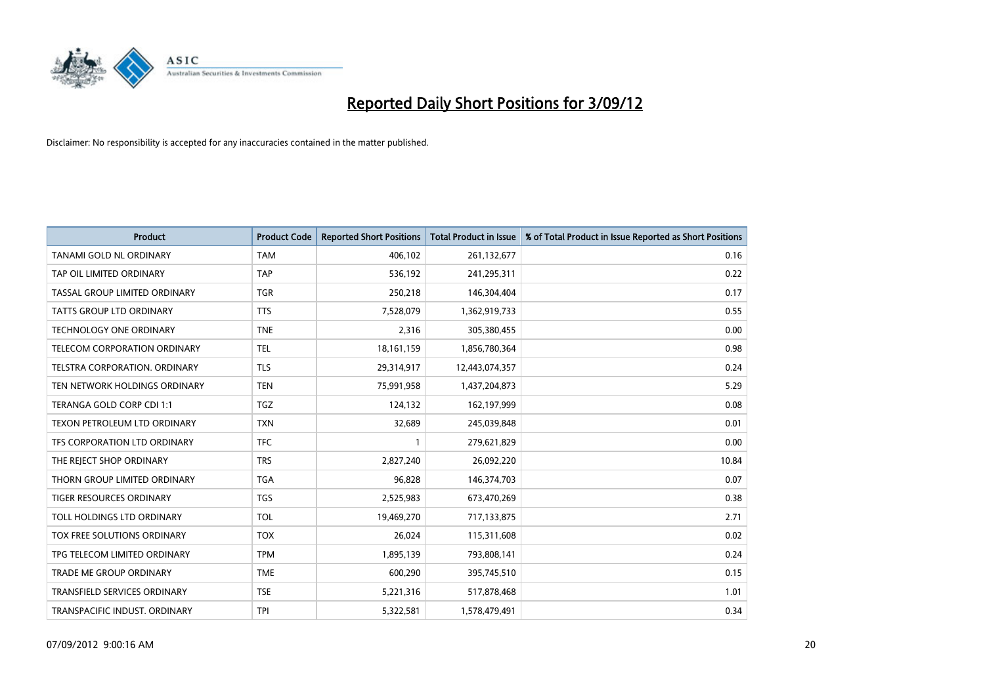

| <b>Product</b>                      | <b>Product Code</b> | <b>Reported Short Positions</b> | <b>Total Product in Issue</b> | % of Total Product in Issue Reported as Short Positions |
|-------------------------------------|---------------------|---------------------------------|-------------------------------|---------------------------------------------------------|
| <b>TANAMI GOLD NL ORDINARY</b>      | <b>TAM</b>          | 406,102                         | 261,132,677                   | 0.16                                                    |
| TAP OIL LIMITED ORDINARY            | <b>TAP</b>          | 536,192                         | 241,295,311                   | 0.22                                                    |
| TASSAL GROUP LIMITED ORDINARY       | <b>TGR</b>          | 250,218                         | 146,304,404                   | 0.17                                                    |
| TATTS GROUP LTD ORDINARY            | <b>TTS</b>          | 7,528,079                       | 1,362,919,733                 | 0.55                                                    |
| <b>TECHNOLOGY ONE ORDINARY</b>      | <b>TNE</b>          | 2,316                           | 305,380,455                   | 0.00                                                    |
| <b>TELECOM CORPORATION ORDINARY</b> | <b>TEL</b>          | 18,161,159                      | 1,856,780,364                 | 0.98                                                    |
| TELSTRA CORPORATION. ORDINARY       | <b>TLS</b>          | 29,314,917                      | 12,443,074,357                | 0.24                                                    |
| TEN NETWORK HOLDINGS ORDINARY       | <b>TEN</b>          | 75,991,958                      | 1,437,204,873                 | 5.29                                                    |
| TERANGA GOLD CORP CDI 1:1           | <b>TGZ</b>          | 124,132                         | 162,197,999                   | 0.08                                                    |
| TEXON PETROLEUM LTD ORDINARY        | <b>TXN</b>          | 32,689                          | 245,039,848                   | 0.01                                                    |
| TFS CORPORATION LTD ORDINARY        | <b>TFC</b>          |                                 | 279,621,829                   | 0.00                                                    |
| THE REJECT SHOP ORDINARY            | <b>TRS</b>          | 2,827,240                       | 26,092,220                    | 10.84                                                   |
| THORN GROUP LIMITED ORDINARY        | <b>TGA</b>          | 96,828                          | 146,374,703                   | 0.07                                                    |
| <b>TIGER RESOURCES ORDINARY</b>     | <b>TGS</b>          | 2,525,983                       | 673,470,269                   | 0.38                                                    |
| TOLL HOLDINGS LTD ORDINARY          | <b>TOL</b>          | 19,469,270                      | 717,133,875                   | 2.71                                                    |
| TOX FREE SOLUTIONS ORDINARY         | <b>TOX</b>          | 26,024                          | 115,311,608                   | 0.02                                                    |
| TPG TELECOM LIMITED ORDINARY        | <b>TPM</b>          | 1,895,139                       | 793,808,141                   | 0.24                                                    |
| TRADE ME GROUP ORDINARY             | <b>TME</b>          | 600,290                         | 395,745,510                   | 0.15                                                    |
| TRANSFIELD SERVICES ORDINARY        | <b>TSE</b>          | 5,221,316                       | 517,878,468                   | 1.01                                                    |
| TRANSPACIFIC INDUST. ORDINARY       | <b>TPI</b>          | 5,322,581                       | 1,578,479,491                 | 0.34                                                    |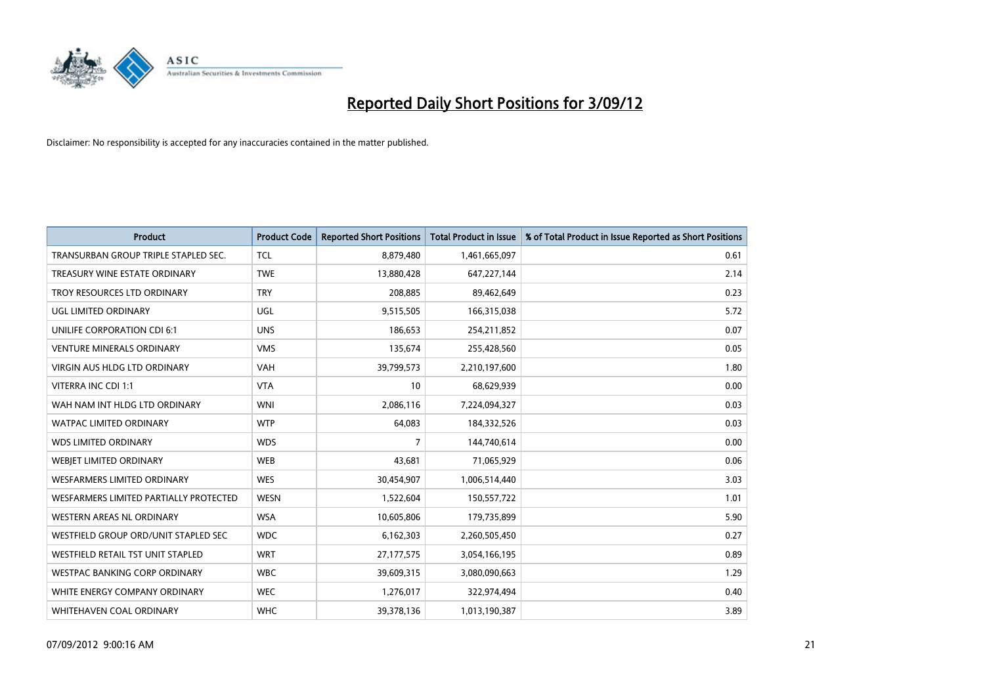

| <b>Product</b>                         | <b>Product Code</b> | <b>Reported Short Positions</b> | <b>Total Product in Issue</b> | % of Total Product in Issue Reported as Short Positions |
|----------------------------------------|---------------------|---------------------------------|-------------------------------|---------------------------------------------------------|
| TRANSURBAN GROUP TRIPLE STAPLED SEC.   | <b>TCL</b>          | 8,879,480                       | 1,461,665,097                 | 0.61                                                    |
| TREASURY WINE ESTATE ORDINARY          | <b>TWE</b>          | 13,880,428                      | 647,227,144                   | 2.14                                                    |
| TROY RESOURCES LTD ORDINARY            | <b>TRY</b>          | 208,885                         | 89,462,649                    | 0.23                                                    |
| UGL LIMITED ORDINARY                   | <b>UGL</b>          | 9,515,505                       | 166,315,038                   | 5.72                                                    |
| <b>UNILIFE CORPORATION CDI 6:1</b>     | <b>UNS</b>          | 186,653                         | 254,211,852                   | 0.07                                                    |
| <b>VENTURE MINERALS ORDINARY</b>       | <b>VMS</b>          | 135,674                         | 255,428,560                   | 0.05                                                    |
| <b>VIRGIN AUS HLDG LTD ORDINARY</b>    | <b>VAH</b>          | 39,799,573                      | 2,210,197,600                 | 1.80                                                    |
| VITERRA INC CDI 1:1                    | <b>VTA</b>          | 10                              | 68,629,939                    | 0.00                                                    |
| WAH NAM INT HLDG LTD ORDINARY          | <b>WNI</b>          | 2,086,116                       | 7,224,094,327                 | 0.03                                                    |
| <b>WATPAC LIMITED ORDINARY</b>         | <b>WTP</b>          | 64,083                          | 184,332,526                   | 0.03                                                    |
| <b>WDS LIMITED ORDINARY</b>            | <b>WDS</b>          | 7                               | 144,740,614                   | 0.00                                                    |
| <b>WEBIET LIMITED ORDINARY</b>         | <b>WEB</b>          | 43,681                          | 71,065,929                    | 0.06                                                    |
| <b>WESFARMERS LIMITED ORDINARY</b>     | <b>WES</b>          | 30,454,907                      | 1,006,514,440                 | 3.03                                                    |
| WESFARMERS LIMITED PARTIALLY PROTECTED | <b>WESN</b>         | 1,522,604                       | 150,557,722                   | 1.01                                                    |
| <b>WESTERN AREAS NL ORDINARY</b>       | <b>WSA</b>          | 10,605,806                      | 179,735,899                   | 5.90                                                    |
| WESTFIELD GROUP ORD/UNIT STAPLED SEC   | <b>WDC</b>          | 6,162,303                       | 2,260,505,450                 | 0.27                                                    |
| WESTFIELD RETAIL TST UNIT STAPLED      | <b>WRT</b>          | 27,177,575                      | 3,054,166,195                 | 0.89                                                    |
| WESTPAC BANKING CORP ORDINARY          | <b>WBC</b>          | 39,609,315                      | 3,080,090,663                 | 1.29                                                    |
| WHITE ENERGY COMPANY ORDINARY          | <b>WEC</b>          | 1,276,017                       | 322,974,494                   | 0.40                                                    |
| WHITEHAVEN COAL ORDINARY               | <b>WHC</b>          | 39,378,136                      | 1,013,190,387                 | 3.89                                                    |